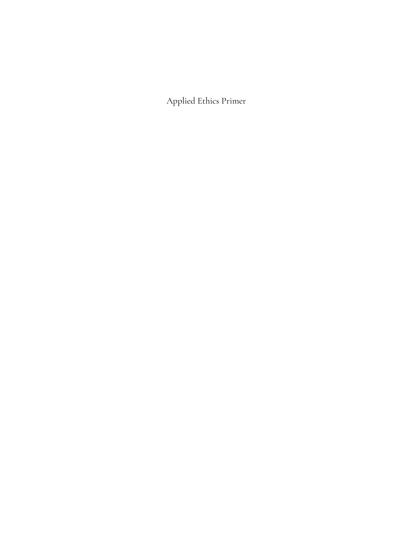Applied Ethics Primer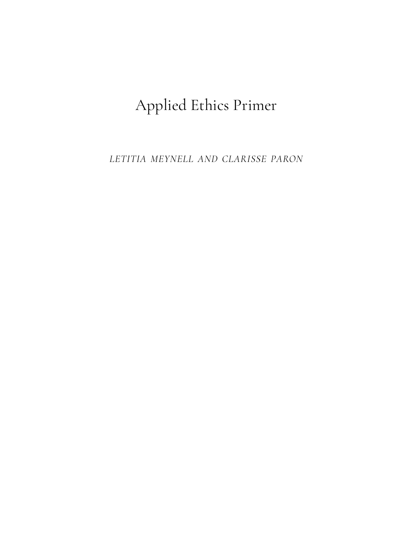# Applied Ethics Primer

*LETITIA MEYNELL AND CLARISSE PARON*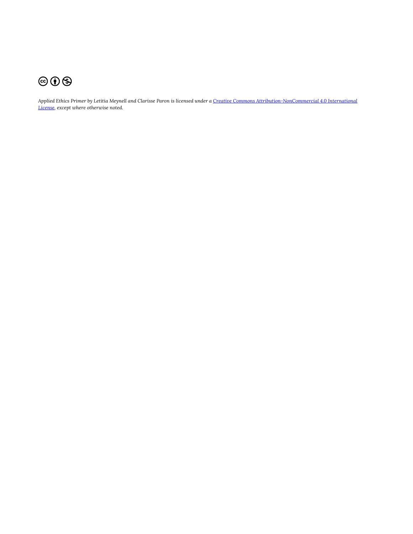

*Applied Ethics Primer by Letitia Meynell and Clarisse Paron is licensed under a [Creative Commons Attribution-NonCommercial 4.0 International](https://creativecommons.org/licenses/by-nc/4.0/)  [License,](https://creativecommons.org/licenses/by-nc/4.0/) except where otherwise noted.*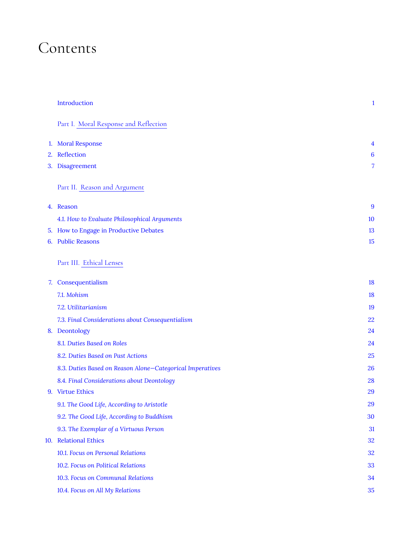# Contents

|     | Introduction                                              | $\mathbf{1}$ |
|-----|-----------------------------------------------------------|--------------|
|     | Part I. Moral Response and Reflection                     |              |
|     | 1. Moral Response                                         | 4            |
|     | 2. Reflection                                             | 6            |
|     | 3. Disagreement                                           | 7            |
|     | Part II. Reason and Argument                              |              |
|     | 4. Reason                                                 | 9            |
|     | 4.1. How to Evaluate Philosophical Arguments              | 10           |
|     | 5. How to Engage in Productive Debates                    | 13           |
|     | 6. Public Reasons                                         | 15           |
|     | Part III. Ethical Lenses                                  |              |
|     | 7. Consequentialism                                       | 18           |
|     | 7.1. Mohism                                               | 18           |
|     | 7.2. Utilitarianism                                       | 19           |
|     | 7.3. Final Considerations about Consequentialism          | 22           |
|     | 8. Deontology                                             | 24           |
|     | 8.1. Duties Based on Roles                                | 24           |
|     | 8.2. Duties Based on Past Actions                         | 25           |
|     | 8.3. Duties Based on Reason Alone-Categorical Imperatives | 26           |
|     | 8.4. Final Considerations about Deontology                | 28           |
|     | 9. Virtue Ethics                                          | 29           |
|     | 9.1. The Good Life, According to Aristotle                | 29           |
|     | 9.2. The Good Life, According to Buddhism                 | 30           |
|     | 9.3. The Exemplar of a Virtuous Person                    | 31           |
| 10. | <b>Relational Ethics</b>                                  | 32           |
|     | 10.1. Focus on Personal Relations                         | 32           |
|     | 10.2. Focus on Political Relations                        | 33           |
|     | 10.3. Focus on Communal Relations                         | 34           |
|     | 10.4. Focus on All My Relations                           | 35           |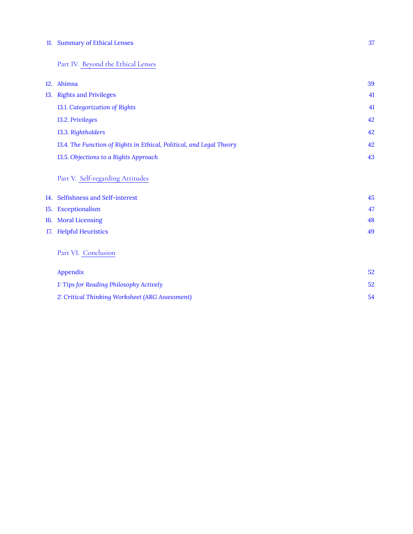#### [11.](#page-42-0) [Summary of Ethical Lenses 37](#page-42-0)

#### [Part](#page-43-0) IV. [Beyond the Ethical Lenses](#page-43-0)

|     | 12. Ahimsa                                                           | 39 |
|-----|----------------------------------------------------------------------|----|
| 13. | <b>Rights and Privileges</b>                                         | 41 |
|     | 13.1. Categorization of Rights                                       | 41 |
|     | 13.2. Privileges                                                     | 42 |
|     | 13.3. Rightholders                                                   | 42 |
|     | 13.4. The Function of Rights in Ethical, Political, and Legal Theory | 42 |
|     | 13.5. Objections to a Rights Approach                                | 43 |
|     | Part V. Self-regarding Attitudes                                     |    |
| 14. | Selfishness and Self-interest                                        | 45 |
| 15. | Exceptionalism                                                       | 47 |
|     | 16. Moral Licensing                                                  | 48 |
|     | 17. Helpful Heuristics                                               | 49 |
|     | Part VI. Conclusion                                                  |    |
|     | Appendix                                                             | 52 |
|     | 1: Tips for Reading Philosophy Actively                              | 52 |
|     |                                                                      |    |

*[2: Critical Thinking Worksheet \(ARG Assessment\)](#page-59-0)* [54](#page-59-0)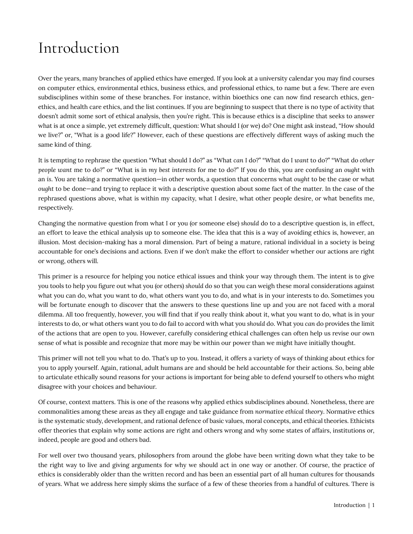# <span id="page-6-0"></span>Introduction

Over the years, many branches of applied ethics have emerged. If you look at a university calendar you may find courses on computer ethics, environmental ethics, business ethics, and professional ethics, to name but a few. There are even subdisciplines within some of these branches. For instance, within bioethics one can now find research ethics, genethics, and health care ethics, and the list continues. If you are beginning to suspect that there is no type of activity that doesn't admit some sort of ethical analysis, then you're right. This is because ethics is a discipline that seeks to answer what is at once a simple, yet extremely difficult, question: What should I (or we) do? One might ask instead, "How should we live?" or, "What is a good life?" However, each of these questions are effectively different ways of asking much the same kind of thing.

It is tempting to rephrase the question "What should I do?" as "What *can* I do?" "What do I *want* to do?" "What do *other people want* me to do?" or "What is in *my best interests* for me to do?" If you do this, you are confusing an *ought* with an *is*. You are taking a normative question—in other words, a question that concerns what *ought* to be the case or what *ought* to be done—and trying to replace it with a descriptive question about some fact of the matter. In the case of the rephrased questions above, what is within my capacity, what I desire, what other people desire, or what benefits me, respectively.

Changing the normative question from what I or you (or someone else) *should* do to a descriptive question is, in effect, an effort to leave the ethical analysis up to someone else. The idea that this is a way of avoiding ethics is, however, an illusion. Most decision-making has a moral dimension. Part of being a mature, rational individual in a society is being accountable for one's decisions and actions. Even if we don't make the effort to consider whether our actions are right or wrong, others will.

This primer is a resource for helping you notice ethical issues and think your way through them. The intent is to give you tools to help you figure out what you (or others) *should* do so that you can weigh these moral considerations against what you can do, what you want to do, what others want you to do, and what is in your interests to do. Sometimes you will be fortunate enough to discover that the answers to these questions line up and you are not faced with a moral dilemma. All too frequently, however, you will find that if you really think about it, what you want to do, what is in your interests to do, or what others want you to do fail to accord with what you *should* do. What you *can* do provides the limit of the actions that are open to you. However, carefully considering ethical challenges can often help us revise our own sense of what is possible and recognize that more may be within our power than we might have initially thought.

This primer will not tell you what to do. That's up to you. Instead, it offers a variety of ways of thinking about ethics for you to apply yourself. Again, rational, adult humans are and should be held accountable for their actions. So, being able to articulate ethically sound reasons for your actions is important for being able to defend yourself to others who might disagree with your choices and behaviour.

Of course, context matters. This is one of the reasons why applied ethics subdisciplines abound. Nonetheless, there are commonalities among these areas as they all engage and take guidance from *normative ethical theory*. Normative ethics is the systematic study, development, and rational defence of basic values, moral concepts, and ethical theories. Ethicists offer theories that explain why some actions are right and others wrong and why some states of affairs, institutions or, indeed, people are good and others bad.

For well over two thousand years, philosophers from around the globe have been writing down what they take to be the right way to live and giving arguments for why we should act in one way or another. Of course, the practice of ethics is considerably older than the written record and has been an essential part of all human cultures for thousands of years. What we address here simply skims the surface of a few of these theories from a handful of cultures. There is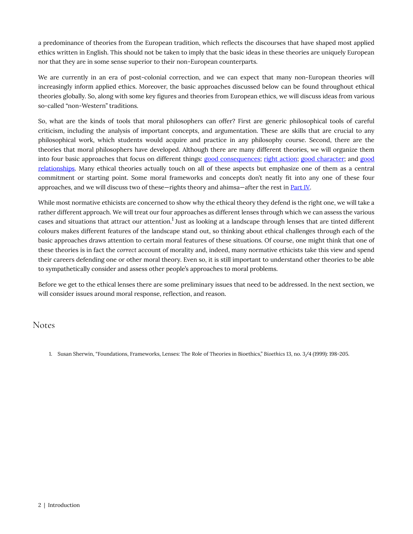a predominance of theories from the European tradition, which reflects the discourses that have shaped most applied ethics written in English. This should not be taken to imply that the basic ideas in these theories are uniquely European nor that they are in some sense superior to their non-European counterparts.

We are currently in an era of post-colonial correction, and we can expect that many non-European theories will increasingly inform applied ethics. Moreover, the basic approaches discussed below can be found throughout ethical theories globally. So, along with some key figures and theories from European ethics, we will discuss ideas from various so-called "non-Western" traditions.

So, what are the kinds of tools that moral philosophers can offer? First are generic philosophical tools of careful criticism, including the analysis of important concepts, and argumentation. These are skills that are crucial to any philosophical work, which students would acquire and practice in any philosophy course. Second, there are the theories that moral philosophers have developed. Although there are many different theories, we will organize them into four basic approaches that focus on different things: [good consequences;](#page-23-0) [right action;](#page-29-0) [good character;](#page-34-0) and [good](#page-37-0) [relationships.](#page-37-0) Many ethical theories actually touch on all of these aspects but emphasize one of them as a central commitment or starting point. Some moral frameworks and concepts don't neatly fit into any one of these four approaches, and we will discuss two of these—rights theory and ahimsa—after the rest in [Part IV](#page-43-0).

While most normative ethicists are concerned to show why the ethical theory they defend is the right one, we will take a rather different approach. We will treat our four approaches as different lenses through which we can assess the various cases and situations that attract our attention. $^1$  Just as looking at a landscape through lenses that are tinted different colours makes different features of the landscape stand out, so thinking about ethical challenges through each of the basic approaches draws attention to certain moral features of these situations. Of course, one might think that one of these theories is in fact the *correct* account of morality and, indeed, many normative ethicists take this view and spend their careers defending one or other moral theory. Even so, it is still important to understand other theories to be able to sympathetically consider and assess other people's approaches to moral problems.

Before we get to the ethical lenses there are some preliminary issues that need to be addressed. In the next section, we will consider issues around moral response, reflection, and reason.

#### Notes

1. Susan Sherwin, "Foundations, Frameworks, Lenses: The Role of Theories in Bioethics," *Bioethics* 13, no. 3/4 (1999): 198-205.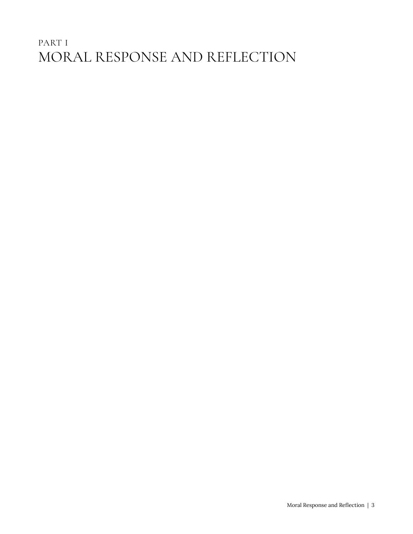## <span id="page-8-0"></span>PART I MORAL RESPONSE AND REFLECTION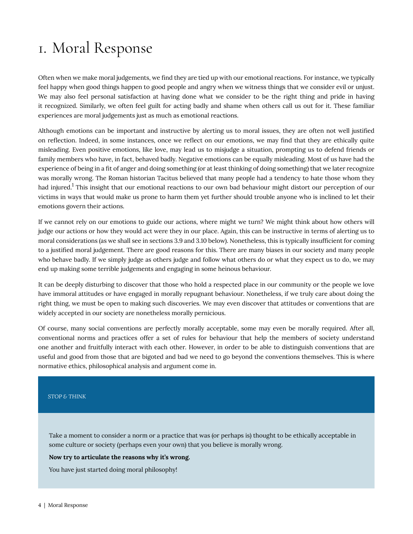# <span id="page-9-0"></span>1. Moral Response

Often when we make moral judgements, we find they are tied up with our emotional reactions. For instance, we typically feel happy when good things happen to good people and angry when we witness things that we consider evil or unjust. We may also feel personal satisfaction at having done what we consider to be the right thing and pride in having it recognized. Similarly, we often feel guilt for acting badly and shame when others call us out for it. These familiar experiences are moral judgements just as much as emotional reactions.

Although emotions can be important and instructive by alerting us to moral issues, they are often not well justified on reflection. Indeed, in some instances, once we reflect on our emotions, we may find that they are ethically quite misleading. Even positive emotions, like love, may lead us to misjudge a situation, prompting us to defend friends or family members who have, in fact, behaved badly. Negative emotions can be equally misleading. Most of us have had the experience of being in a fit of anger and doing something (or at least thinking of doing something) that we later recognize was morally wrong. The Roman historian Tacitus believed that many people had a tendency to hate those whom they had injured.<sup>1</sup> This insight that our emotional reactions to our own bad behaviour might distort our perception of our victims in ways that would make us prone to harm them yet further should trouble anyone who is inclined to let their emotions govern their actions.

If we cannot rely on our emotions to guide our actions, where might we turn? We might think about how others will judge our actions or how they would act were they in our place. Again, this can be instructive in terms of alerting us to moral considerations (as we shall see in sections 3.9 and 3.10 below). Nonetheless, this is typically insufficient for coming to a justified moral judgement. There are good reasons for this. There are many biases in our society and many people who behave badly. If we simply judge as others judge and follow what others do or what they expect us to do, we may end up making some terrible judgements and engaging in some heinous behaviour.

It can be deeply disturbing to discover that those who hold a respected place in our community or the people we love have immoral attitudes or have engaged in morally repugnant behaviour. Nonetheless, if we truly care about doing the right thing, we must be open to making such discoveries. We may even discover that attitudes or conventions that are widely accepted in our society are nonetheless morally pernicious.

Of course, many social conventions are perfectly morally acceptable, some may even be morally required. After all, conventional norms and practices offer a set of rules for behaviour that help the members of society understand one another and fruitfully interact with each other. However, in order to be able to distinguish conventions that are useful and good from those that are bigoted and bad we need to go beyond the conventions themselves. This is where normative ethics, philosophical analysis and argument come in.

#### *STOP & THINK*

Take a moment to consider a norm or a practice that was (or perhaps is) thought to be ethically acceptable in some culture or society (perhaps even your own) that you believe is morally wrong.

#### **Now try to articulate the reasons why it's wrong.**

You have just started doing moral philosophy!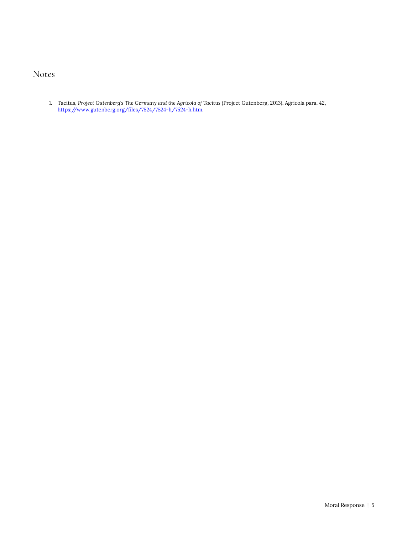#### Notes

1. Tacitus, *Project Gutenberg's The Germany and the Agricola of Tacitus* (Project Gutenberg, 2013), Agricola para. 42, <https://www.gutenberg.org/files/7524/7524-h/7524-h.htm>.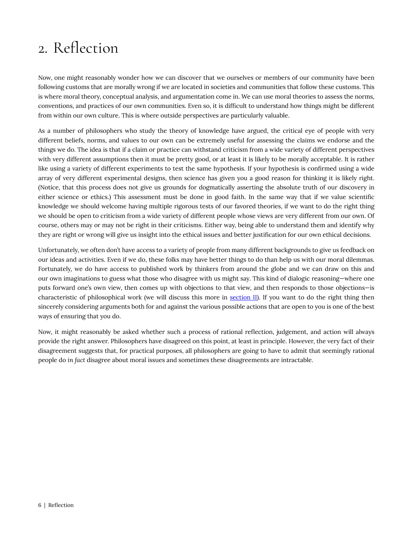# <span id="page-11-0"></span>2. Reflection

Now, one might reasonably wonder how we can discover that we ourselves or members of our community have been following customs that are morally wrong if we are located in societies and communities that follow these customs. This is where moral theory, conceptual analysis, and argumentation come in. We can use moral theories to assess the norms, conventions, and practices of our own communities. Even so, it is difficult to understand how things might be different from within our own culture. This is where outside perspectives are particularly valuable.

As a number of philosophers who study the theory of knowledge have argued, the critical eye of people with very different beliefs, norms, and values to our own can be extremely useful for assessing the claims we endorse and the things we do. The idea is that if a claim or practice can withstand criticism from a wide variety of different perspectives with very different assumptions then it must be pretty good, or at least it is likely to be morally acceptable. It is rather like using a variety of different experiments to test the same hypothesis. If your hypothesis is confirmed using a wide array of very different experimental designs, then science has given you a good reason for thinking it is likely right. (Notice, that this process does not give us grounds for dogmatically asserting the absolute truth of our discovery in either science or ethics.) This assessment must be done in good faith. In the same way that if we value scientific knowledge we should welcome having multiple rigorous tests of our favored theories, if we want to do the right thing we should be open to criticism from a wide variety of different people whose views are very different from our own. Of course, others may or may not be right in their criticisms. Either way, being able to understand them and identify why they are right or wrong will give us insight into the ethical issues and better justification for our own ethical decisions.

Unfortunately, we often don't have access to a variety of people from many different backgrounds to give us feedback on our ideas and activities. Even if we do, these folks may have better things to do than help us with our moral dilemmas. Fortunately, we do have access to published work by thinkers from around the globe and we can draw on this and our own imaginations to guess what those who disagree with us might say. This kind of dialogic reasoning—where one puts forward one's own view, then comes up with objections to that view, and then responds to those objections—is characteristic of philosophical work (we will discuss this more in [section II](#page-13-0)). If you want to do the right thing then sincerely considering arguments both for and against the various possible actions that are open to you is one of the best ways of ensuring that you do.

Now, it might reasonably be asked whether such a process of rational reflection, judgement, and action will always provide the right answer. Philosophers have disagreed on this point, at least in principle. However, the very fact of their disagreement suggests that, for practical purposes, all philosophers are going to have to admit that seemingly rational people do *in fact* disagree about moral issues and sometimes these disagreements are intractable.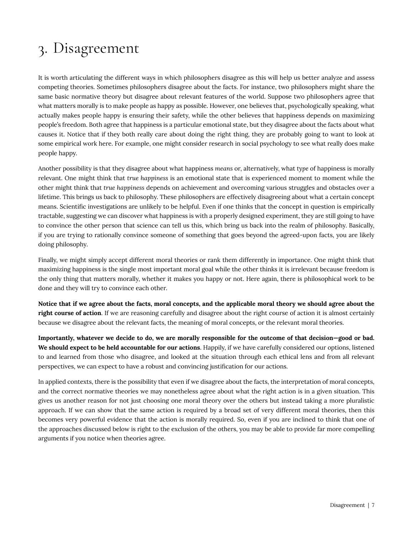# <span id="page-12-0"></span>3. Disagreement

It is worth articulating the different ways in which philosophers disagree as this will help us better analyze and assess competing theories. Sometimes philosophers disagree about the facts. For instance, two philosophers might share the same basic normative theory but disagree about relevant features of the world. Suppose two philosophers agree that what matters morally is to make people as happy as possible. However, one believes that, psychologically speaking, what actually makes people happy is ensuring their safety, while the other believes that happiness depends on maximizing people's freedom. Both agree that happiness is a particular emotional state, but they disagree about the facts about what causes it. Notice that if they both really care about doing the right thing, they are probably going to want to look at some empirical work here. For example, one might consider research in social psychology to see what really does make people happy.

Another possibility is that they disagree about what happiness *means* or, alternatively, what *type* of happiness is morally relevant. One might think that *true happiness* is an emotional state that is experienced moment to moment while the other might think that *true happiness* depends on achievement and overcoming various struggles and obstacles over a lifetime. This brings us back to philosophy. These philosophers are effectively disagreeing about what a certain concept means. Scientific investigations are unlikely to be helpful. Even if one thinks that the concept in question is empirically tractable, suggesting we can discover what happiness is with a properly designed experiment, they are still going to have to convince the other person that science can tell us this, which bring us back into the realm of philosophy. Basically, if you are trying to rationally convince someone of something that goes beyond the agreed-upon facts, you are likely doing philosophy.

Finally, we might simply accept different moral theories or rank them differently in importance. One might think that maximizing happiness is the single most important moral goal while the other thinks it is irrelevant because freedom is the only thing that matters morally, whether it makes you happy or not. Here again, there is philosophical work to be done and they will try to convince each other.

**Notice that if we agree about the facts, moral concepts, and the applicable moral theory we should agree about the right course of action**. If we are reasoning carefully and disagree about the right course of action it is almost certainly because we disagree about the relevant facts, the meaning of moral concepts, or the relevant moral theories.

**Importantly, whatever we decide to do, we are morally responsible for the outcome of that decision—good or bad. We should expect to be held accountable for our actions**. Happily, if we have carefully considered our options, listened to and learned from those who disagree, and looked at the situation through each ethical lens and from all relevant perspectives, we can expect to have a robust and convincing justification for our actions.

In applied contexts, there is the possibility that even if we disagree about the facts, the interpretation of moral concepts, and the correct normative theories we may nonetheless agree about what the right action is in a given situation. This gives us another reason for not just choosing one moral theory over the others but instead taking a more pluralistic approach. If we can show that the same action is required by a broad set of very different moral theories, then this becomes very powerful evidence that the action is morally required. So, even if you are inclined to think that one of the approaches discussed below is right to the exclusion of the others, you may be able to provide far more compelling arguments if you notice when theories agree.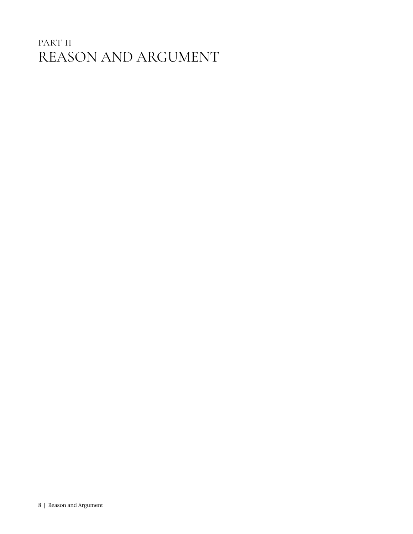## <span id="page-13-0"></span>PART II REASON AND ARGUMENT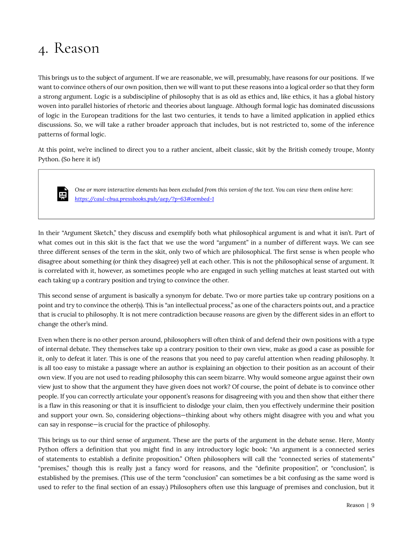## <span id="page-14-0"></span>4. Reason

This brings us to the subject of argument. If we are reasonable, we will, presumably, have reasons for our positions. If we want to convince others of our own position, then we will want to put these reasons into a logical order so that they form a strong argument. Logic is a subdiscipline of philosophy that is as old as ethics and, like ethics, it has a global history woven into parallel histories of rhetoric and theories about language. Although formal logic has dominated discussions of logic in the European traditions for the last two centuries, it tends to have a limited application in applied ethics discussions. So, we will take a rather broader approach that includes, but is not restricted to, some of the inference patterns of formal logic.

At this point, we're inclined to direct you to a rather ancient, albeit classic, skit by the British comedy troupe, Monty Python. (So here it is!)



*One or more interactive elements has been excluded from this version of the text. You can view them online here: https://caul-cbua.pressbooks.pub/aep/?p=63#oembed-1* 

In their "Argument Sketch," they discuss and exemplify both what philosophical argument is and what it isn't. Part of what comes out in this skit is the fact that we use the word "argument" in a number of different ways. We can see three different senses of the term in the skit, only two of which are philosophical. The first sense is when people who disagree about something (or think they disagree) yell at each other. This is not the philosophical sense of argument. It is correlated with it, however, as sometimes people who are engaged in such yelling matches at least started out with each taking up a contrary position and trying to convince the other.

This second sense of argument is basically a synonym for debate. Two or more parties take up contrary positions on a point and try to convince the other(s). This is "an intellectual process," as one of the characters points out, and a practice that is crucial to philosophy. It is not mere contradiction because *reasons* are given by the different sides in an effort to change the other's mind.

Even when there is no other person around, philosophers will often think of and defend their own positions with a type of internal debate. They themselves take up a contrary position to their own view, make as good a case as possible for it, only to defeat it later. This is one of the reasons that you need to pay careful attention when reading philosophy. It is all too easy to mistake a passage where an author is explaining an objection to their position as an account of their own view. If you are not used to reading philosophy this can seem bizarre. Why would someone argue against their own view just to show that the argument they have given does not work? Of course, the point of debate is to convince other people. If you can correctly articulate your opponent's reasons for disagreeing with you and then show that either there is a flaw in this reasoning or that it is insufficient to dislodge your claim, then you effectively undermine their position and support your own. So, considering objections—thinking about why others might disagree with you and what you can say in response—is crucial for the practice of philosophy.

This brings us to our third sense of argument. These are the parts of the argument in the debate sense. Here, Monty Python offers a definition that you might find in any introductory logic book: "An argument is a connected series of statements to establish a definite proposition." Often philosophers will call the "connected series of statements" "premises," though this is really just a fancy word for reasons, and the "definite proposition", or "conclusion", is established by the premises. (This use of the term "conclusion" can sometimes be a bit confusing as the same word is used to refer to the final section of an essay.) Philosophers often use this language of premises and conclusion, but it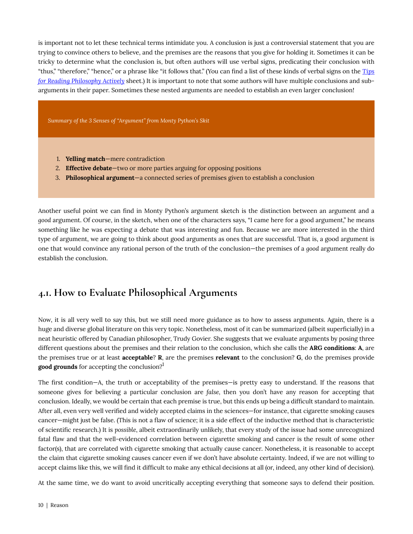is important not to let these technical terms intimidate you. A conclusion is just a controversial statement that you are trying to convince others to believe, and the premises are the reasons that you give for holding it. Sometimes it can be tricky to determine what the conclusion is, but often authors will use verbal signs, predicating their conclusion with "thus," "therefore," "hence," or a phrase like "it follows that." (You can find a list of these kinds of verbal signs on the *[Tips](#page-57-0) [for Reading Philosophy Actively](#page-57-0)* sheet.) It is important to note that some authors will have multiple conclusions and subarguments in their paper. Sometimes these nested arguments are needed to establish an even larger conclusion!

*Summary of the 3 Senses of "Argument" from Monty Python's Skit* 

- 1. **Yelling match**—mere contradiction
- 2. **Effective debate**—two or more parties arguing for opposing positions
- 3. **Philosophical argument**—a connected series of premises given to establish a conclusion

Another useful point we can find in Monty Python's argument sketch is the distinction between an argument and a *good* argument. Of course, in the sketch, when one of the characters says, "I came here for a good argument," he means something like he was expecting a debate that was interesting and fun. Because we are more interested in the third type of argument, we are going to think about good arguments as ones that are successful. That is, a good argument is one that would convince any rational person of the truth of the conclusion—the premises of a *good* argument really do establish the conclusion.

#### <span id="page-15-0"></span>**4.1. How to Evaluate Philosophical Arguments**

Now, it is all very well to say this, but we still need more guidance as to how to assess arguments. Again, there is a huge and diverse global literature on this very topic. Nonetheless, most of it can be summarized (albeit superficially) in a neat heuristic offered by Canadian philosopher, Trudy Govier. She suggests that we evaluate arguments by posing three different questions about the premises and their relation to the conclusion, which she calls the **ARG conditions**: **A**, are the premises true or at least **acceptable**? **R**, are the premises **relevant** to the conclusion? **G**, do the premises provide **good grounds** for accepting the conclusion? 1

The first condition—A, the truth or acceptability of the premises—is pretty easy to understand. If the reasons that someone gives for believing a particular conclusion are *false,* then you don't have any reason for accepting that conclusion. Ideally, we would be certain that each premise is true, but this ends up being a difficult standard to maintain. After all, even very well verified and widely accepted claims in the sciences—for instance, that cigarette smoking causes cancer—might just be false. (This is not a flaw of science; it is a side effect of the inductive method that is characteristic of scientific research.) It is *possible*, albeit extraordinarily unlikely, that every study of the issue had some unrecognized fatal flaw and that the well-evidenced correlation between cigarette smoking and cancer is the result of some other factor(s), that are correlated with cigarette smoking that actually cause cancer. Nonetheless, it is reasonable to accept the claim that cigarette smoking causes cancer even if we don't have absolute certainty. Indeed, if we are not willing to accept claims like this, we will find it difficult to make any ethical decisions at all (or, indeed, any other kind of decision).

At the same time, we do want to avoid uncritically accepting everything that someone says to defend their position.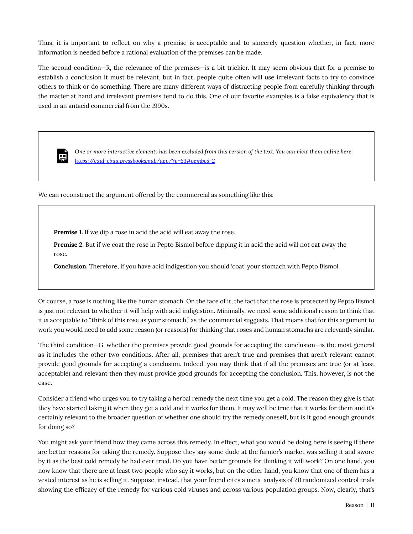Thus, it is important to reflect on why a premise is acceptable and to sincerely question whether, in fact, more information is needed before a rational evaluation of the premises can be made.

The second condition—R, the relevance of the premises—is a bit trickier. It may seem obvious that for a premise to establish a conclusion it must be relevant, but in fact, people quite often will use irrelevant facts to try to convince others to think or do something. There are many different ways of distracting people from carefully thinking through the matter at hand and irrelevant premises tend to do this. One of our favorite examples is a false equivalency that is used in an antacid commercial from the 1990s.



*One or more interactive elements has been excluded from this version of the text. You can view them online here: https://caul-cbua.pressbooks.pub/aep/?p=63#oembed-2* 

We can reconstruct the argument offered by the commercial as something like this:

**Premise 1.** If we dip a rose in acid the acid will eat away the rose.

**Premise 2**. But if we coat the rose in Pepto Bismol before dipping it in acid the acid will not eat away the rose.

**Conclusion.** Therefore, if you have acid indigestion you should 'coat' your stomach with Pepto Bismol.

Of course, a rose is nothing like the human stomach. On the face of it, the fact that the rose is protected by Pepto Bismol is just not relevant to whether it will help with acid indigestion. Minimally, we need some additional reason to think that it *is* acceptable to "think of this rose as your stomach," as the commercial suggests. That means that for this argument to work you would need to add some reason (or reasons) for thinking that roses and human stomachs are relevantly similar.

The third condition—G, whether the premises provide good grounds for accepting the conclusion—is the most general as it includes the other two conditions. After all, premises that aren't true and premises that aren't relevant cannot provide good grounds for accepting a conclusion. Indeed, you may think that if all the premises are true (or at least acceptable) and relevant then they must provide good grounds for accepting the conclusion. This, however, is not the case.

Consider a friend who urges you to try taking a herbal remedy the next time you get a cold. The reason they give is that they have started taking it when they get a cold and it works for them. It may well be true that it works for them and it's certainly relevant to the broader question of whether one should try the remedy oneself, but is it good enough grounds for doing so?

You might ask your friend how they came across this remedy. In effect, what you would be doing here is seeing if there are better reasons for taking the remedy. Suppose they say some dude at the farmer's market was selling it and swore by it as the best cold remedy he had ever tried. Do you have better grounds for thinking it will work? On one hand, you now know that there are at least two people who say it works, but on the other hand, you know that one of them has a vested interest as he is selling it. Suppose, instead, that your friend cites a meta-analysis of 20 randomized control trials showing the efficacy of the remedy for various cold viruses and across various population groups. Now, clearly, that's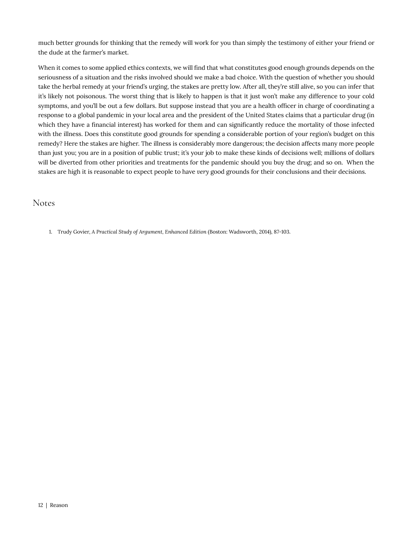much better grounds for thinking that the remedy will work for you than simply the testimony of either your friend or the dude at the farmer's market.

When it comes to some applied ethics contexts, we will find that what constitutes good enough grounds depends on the seriousness of a situation and the risks involved should we make a bad choice. With the question of whether you should take the herbal remedy at your friend's urging, the stakes are pretty low. After all, they're still alive, so you can infer that it's likely not poisonous. The worst thing that is likely to happen is that it just won't make any difference to your cold symptoms, and you'll be out a few dollars. But suppose instead that you are a health officer in charge of coordinating a response to a global pandemic in your local area and the president of the United States claims that a particular drug (in which they have a financial interest) has worked for them and can significantly reduce the mortality of those infected with the illness. Does this constitute good grounds for spending a considerable portion of your region's budget on this remedy? Here the stakes are higher. The illness is considerably more dangerous; the decision affects many more people than just you; you are in a position of public trust; it's your job to make these kinds of decisions well; millions of dollars will be diverted from other priorities and treatments for the pandemic should you buy the drug; and so on. When the stakes are high it is reasonable to expect people to have *very* good grounds for their conclusions and their decisions.

#### Notes

1. Trudy Govier, *A Practical Study of Argument, Enhanced Edition* (Boston: Wadsworth, 2014), 87-103.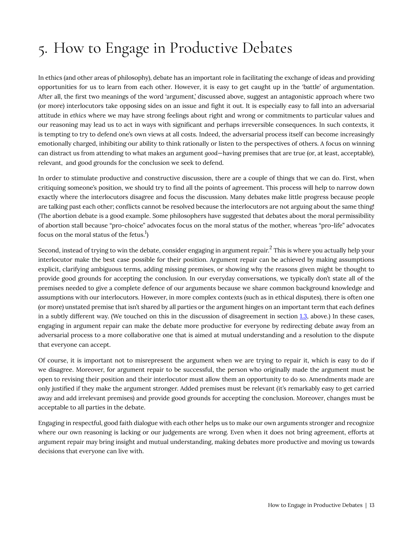# <span id="page-18-0"></span>5. How to Engage in Productive Debates

In ethics (and other areas of philosophy), debate has an important role in facilitating the exchange of ideas and providing opportunities for us to learn from each other. However, it is easy to get caught up in the 'battle' of argumentation. After all, the first two meanings of the word 'argument,' discussed above, suggest an antagonistic approach where two (or more) interlocutors take opposing sides on an issue and fight it out. It is especially easy to fall into an adversarial attitude in *ethics* where we may have strong feelings about right and wrong or commitments to particular values and our reasoning may lead us to act in ways with significant and perhaps irreversible consequences. In such contexts, it is tempting to try to defend one's own views at all costs. Indeed, the adversarial process itself can become increasingly emotionally charged, inhibiting our ability to think rationally or listen to the perspectives of others. A focus on winning can distract us from attending to what makes an argument *good*—having premises that are true (or, at least, acceptable), relevant, and good grounds for the conclusion we seek to defend.

In order to stimulate productive and constructive discussion, there are a couple of things that we can do. First, when critiquing someone's position, we should try to find all the points of agreement. This process will help to narrow down exactly where the interlocutors disagree and focus the discussion. Many debates make little progress because people are talking past each other; conflicts cannot be resolved because the interlocutors are not arguing about the same thing! (The abortion debate is a good example. Some philosophers have suggested that debates about the moral permissibility of abortion stall because "pro-choice" advocates focus on the moral status of the mother, whereas "pro-life" advocates focus on the moral status of the fetus.<sup>1</sup>)

Second, instead of trying to win the debate, consider engaging in argument repair. $^2$  This is where you actually help your interlocutor make the best case possible for their position. Argument repair can be achieved by making assumptions explicit, clarifying ambiguous terms, adding missing premises, or showing why the reasons given might be thought to provide good grounds for accepting the conclusion. In our everyday conversations, we typically don't state all of the premises needed to give a complete defence of our arguments because we share common background knowledge and assumptions with our interlocutors. However, in more complex contexts (such as in ethical disputes), there is often one (or more) unstated premise that isn't shared by all parties or the argument hinges on an important term that each defines in a subtly different way. (We touched on this in the discussion of disagreement in section [1.3](#page-12-0), above.) In these cases, engaging in argument repair can make the debate more productive for everyone by redirecting debate away from an adversarial process to a more collaborative one that is aimed at mutual understanding and a resolution to the dispute that everyone can accept.

Of course, it is important not to misrepresent the argument when we are trying to repair it, which is easy to do if we disagree. Moreover, for argument repair to be successful, the person who originally made the argument must be open to revising their position and their interlocutor must allow them an opportunity to do so. Amendments made are only justified if they make the argument stronger. Added premises must be relevant (it's remarkably easy to get carried away and add irrelevant premises) and provide good grounds for accepting the conclusion. Moreover, changes must be acceptable to all parties in the debate.

Engaging in respectful, good faith dialogue with each other helps us to make our own arguments stronger and recognize where our own reasoning is lacking or our judgements are wrong. Even when it does not bring agreement, efforts at argument repair may bring insight and mutual understanding, making debates more productive and moving us towards decisions that everyone can live with.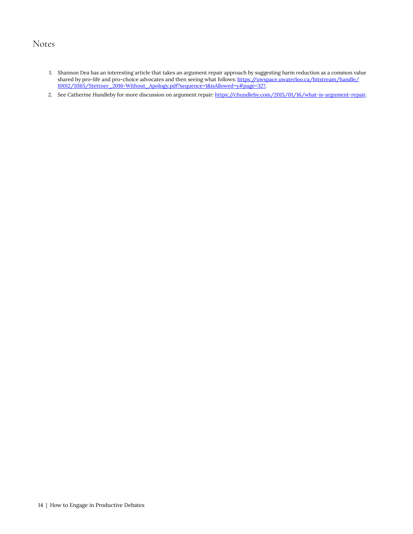### Notes

- 1. Shannon Dea has an interesting article that takes an argument repair approach by suggesting harm reduction as a common value shared by pro-life and pro-choice advocates and then seeing what follows: [https://uwspace.uwaterloo.ca/bitstream/handle/](https://uwspace.uwaterloo.ca/bitstream/handle/10012/11165/Stettner_2016-Without_Apology.pdf?sequence=1&isAllowed=y#page=327) [10012/11165/Stettner\\_2016-Without\\_Apology.pdf?sequence=1&isAllowed=y#page=327.](https://uwspace.uwaterloo.ca/bitstream/handle/10012/11165/Stettner_2016-Without_Apology.pdf?sequence=1&isAllowed=y#page=327)
- 2. See Catherine Hundleby for more discussion on argument repair: <https://chundleby.com/2015/01/16/what-is-argument-repair>.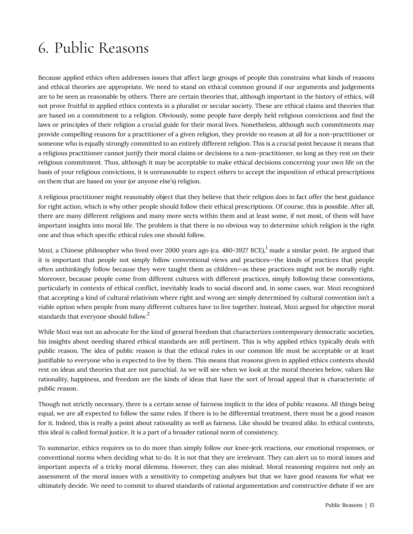# <span id="page-20-0"></span>6. Public Reasons

Because applied ethics often addresses issues that affect large groups of people this constrains what kinds of reasons and ethical theories are appropriate. We need to stand on ethical common ground if our arguments and judgements are to be seen as reasonable by others. There are certain theories that, although important in the history of ethics, will not prove fruitful in applied ethics contexts in a pluralist or secular society. These are ethical claims and theories that are based on a commitment to a religion. Obviously, some people have deeply held religious convictions and find the laws or principles of their religion a crucial guide for their moral lives. Nonetheless, although such commitments may provide compelling reasons for a practitioner of a given religion, they provide no reason at all for a non-practitioner or someone who is equally strongly committed to an entirely different religion. This is a crucial point because it means that a religious practitioner cannot *justify* their moral claims or decisions to a non-practitioner, so long as they rest on their religious commitment. Thus, although it may be acceptable to make ethical decisions concerning your own life on the basis of your religious convictions, it is unreasonable to expect others to accept the imposition of ethical prescriptions on them that are based on your (or anyone else's) religion.

A religious practitioner might reasonably object that they believe that their religion *does* in fact offer the best guidance for right action, which is why other people should follow their ethical prescriptions. Of course, this is possible. After all, there are many different religions and many more sects within them and at least some, if not most, of them will have important insights into moral life. The problem is that there is no obvious way to determine *which* religion is the right one and thus which specific ethical rules one should follow.

Mozi, a Chinese philosopher who lived over 2000 years ago (ca. 480-392? BCE),<sup>1</sup> made a similar point. He argued that it is important that people not simply follow conventional views and practices—the kinds of practices that people often unthinkingly follow because they were taught them as children—as these practices might not be morally right. Moreover, because people come from different cultures with different practices, simply following these conventions, particularly in contexts of ethical conflict, inevitably leads to social discord and, in some cases, war. Mozi recognized that accepting a kind of cultural relativism where right and wrong are simply determined by cultural convention isn't a viable option when people from many different cultures have to live together. Instead, Mozi argued for objective moral standards that everyone should follow. $^2$ 

While Mozi was not an advocate for the kind of general freedom that characterizes contemporary democratic societies, his insights about needing shared ethical standards are still pertinent. This is why applied ethics typically deals with public reason. The idea of public reason is that the ethical rules in our common life must be acceptable or at least justifiable to everyone who is expected to live by them. This means that reasons given in applied ethics contexts should rest on ideas and theories that are not parochial. As we will see when we look at the moral theories below, values like rationality, happiness, and freedom are the kinds of ideas that have the sort of broad appeal that is characteristic of public reason.

Though not strictly necessary, there is a certain sense of fairness implicit in the idea of public reasons. All things being equal, we are all expected to follow the same rules. If there is to be differential treatment, there must be a good reason for it. Indeed, this is really a point about rationality as well as fairness. Like should be treated alike. In ethical contexts, this ideal is called formal justice. It is a part of a broader rational norm of consistency.

To summarize, ethics requires us to do more than simply follow our knee-jerk reactions, our emotional responses, or conventional norms when deciding what to do. It is not that they are irrelevant. They can alert us to moral issues and important aspects of a tricky moral dilemma. However, they can also mislead. Moral reasoning requires not only an assessment of the moral issues with a sensitivity to competing analyses but that we have good reasons for what we ultimately decide. We need to commit to shared standards of rational argumentation and constructive debate if we are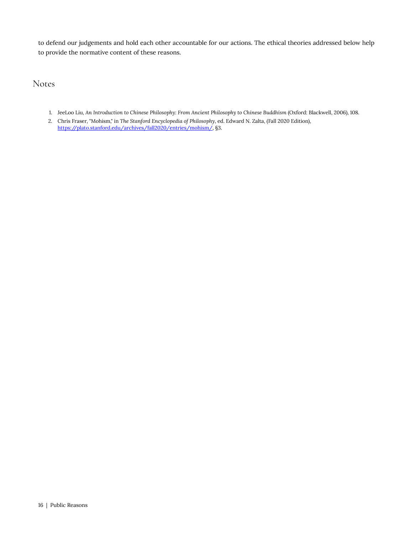to defend our judgements and hold each other accountable for our actions. The ethical theories addressed below help to provide the normative content of these reasons.

Notes

- 1. JeeLoo Liu, *An Introduction to Chinese Philosophy: From Ancient Philosophy to Chinese Buddhism* (Oxford: Blackwell, 2006), 108.
- 2. Chris Fraser, "Mohism," in *The Stanford Encyclopedia of Philosophy*, ed. Edward N. Zalta, (Fall 2020 Edition), <https://plato.stanford.edu/archives/fall2020/entries/mohism/>, §3.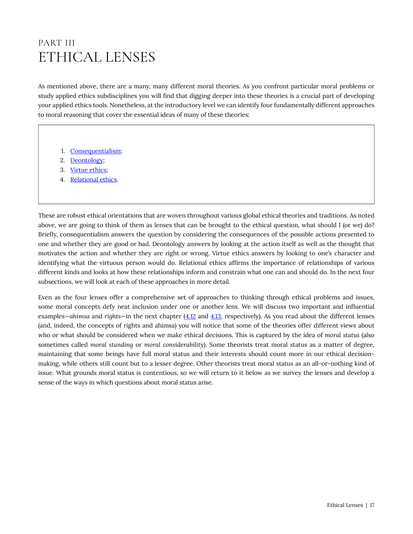### <span id="page-22-0"></span>PART III ETHICAL LENSES

As mentioned above, there are a many, many different moral theories. As you confront particular moral problems or study applied ethics subdisciplines you will find that digging deeper into these theories is a crucial part of developing your applied ethics tools. Nonetheless, at the introductory level we can identify four fundamentally different approaches to moral reasoning that cover the essential ideas of many of these theories:

- 1. [Consequentialism](#page-23-0);
- 2. [Deontology;](#page-29-0)
- 3. [Virtue ethics;](#page-34-0)
- 4. [Relational ethics](#page-37-0).

These are robust ethical orientations that are woven throughout various global ethical theories and traditions. As noted above, we are going to think of them as lenses that can be brought to the ethical question, what should I (or we) do? Briefly, consequentialism answers the question by considering the consequences of the possible actions presented to one and whether they are good or bad. Deontology answers by looking at the action itself as well as the thought that motivates the action and whether they are right or wrong. Virtue ethics answers by looking to one's character and identifying what the virtuous person would do. Relational ethics affirms the importance of relationships of various different kinds and looks at how these relationships inform and constrain what one can and should do. In the next four subsections, we will look at each of these approaches in more detail.

Even as the four lenses offer a comprehensive set of approaches to thinking through ethical problems and issues, some moral concepts defy neat inclusion under one or another lens. We will discuss two important and influential examples—*ahimsa* and *rights*—in the next chapter [\(4.12](#page-44-0) and [4.13,](#page-46-0) respectively). As you read about the different lenses (and, indeed, the concepts of rights and ahimsa) you will notice that some of the theories offer different views about who or what should be considered when we make ethical decisions. This is captured by the idea of *moral status* (also sometimes called *moral standing* or *moral considerability*). Some theorists treat moral status as a matter of degree, maintaining that some beings have full moral status and their interests should count more in our ethical decisionmaking, while others still count but to a lesser degree. Other theorists treat moral status as an all-or-nothing kind of issue. What grounds moral status is contentious, so we will return to it below as we survey the lenses and develop a sense of the ways in which questions about moral status arise.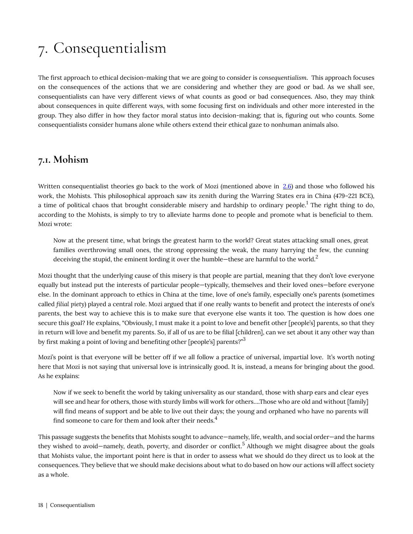# <span id="page-23-0"></span>7. Consequentialism

The first approach to ethical decision-making that we are going to consider is *consequentialism*. This approach focuses on the consequences of the actions that we are considering and whether they are good or bad. As we shall see, consequentialists can have very different views of what counts as good or bad consequences. Also, they may think about consequences in quite different ways, with some focusing first on individuals and other more interested in the group. They also differ in how they factor moral status into decision-making; that is, figuring out who counts. Some consequentialists consider humans alone while others extend their ethical gaze to nonhuman animals also.

### <span id="page-23-1"></span>**7.1. Mohism**

Written consequentialist theories go back to the work of Mozi (mentioned above in [2.6\)](#page-20-0) and those who followed his work, the Mohists. This philosophical approach saw its zenith during the Warring States era in China (479–221 BCE), a time of political chaos that brought considerable misery and hardship to ordinary people.<sup>1</sup> The right thing to do, according to the Mohists, is simply to try to alleviate harms done to people and promote what is beneficial to them. Mozi wrote:

Now at the present time, what brings the greatest harm to the world? Great states attacking small ones, great families overthrowing small ones, the strong oppressing the weak, the many harrying the few, the cunning deceiving the stupid, the eminent lording it over the humble-these are harmful to the world.<sup>2</sup>

Mozi thought that the underlying cause of this misery is that people are partial, meaning that they don't love everyone equally but instead put the interests of particular people—typically, themselves and their loved ones—before everyone else. In the dominant approach to ethics in China at the time, love of one's family, especially one's parents (sometimes called *filial piety*) played a central role. Mozi argued that if one really wants to benefit and protect the interests of one's parents, the best way to achieve this is to make sure that everyone else wants it too. The question is how does one secure this goal? He explains, "Obviously, I must make it a point to love and benefit other [people's] parents, so that they in return will love and benefit my parents. So, if all of us are to be filial [children], can we set about it any other way than by first making a point of loving and benefiting other [people's] parents?"<sup>3</sup>

Mozi's point is that everyone will be better off if we all follow a practice of universal, impartial love. It's worth noting here that Mozi is not saying that universal love is intrinsically good. It is, instead, a means for bringing about the good. As he explains:

Now if we seek to benefit the world by taking universality as our standard, those with sharp ears and clear eyes will see and hear for others, those with sturdy limbs will work for others....Those who are old and without [family] will find means of support and be able to live out their days; the young and orphaned who have no parents will find someone to care for them and look after their needs. $4$ 

This passage suggests the benefits that Mohists sought to advance—namely, life, wealth, and social order—and the harms they wished to avoid—namely, death, poverty, and disorder or conflict.<sup>5</sup> Although we might disagree about the goals that Mohists value, the important point here is that in order to assess what we should do they direct us to look at the consequences. They believe that we should make decisions about what to do based on how our actions will affect society as a whole.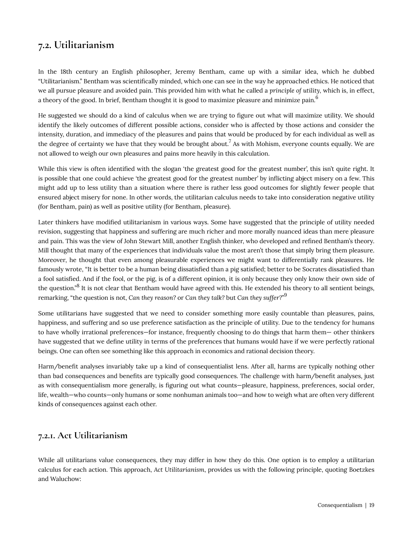### <span id="page-24-0"></span>**7.2. Utilitarianism**

In the 18th century an English philosopher, Jeremy Bentham, came up with a similar idea, which he dubbed "Utilitarianism." Bentham was scientifically minded, which one can see in the way he approached ethics. He noticed that we all pursue pleasure and avoided pain. This provided him with what he called a *principle of utility,* which is, in effect, a theory of the good. In brief, Bentham thought it is good to maximize pleasure and minimize pain.<sup>6</sup>

He suggested we should do a kind of calculus when we are trying to figure out what will maximize utility. We should identify the likely outcomes of different possible actions, consider who is affected by those actions and consider the intensity, duration, and immediacy of the pleasures and pains that would be produced by for each individual as well as the degree of certainty we have that they would be brought about. $^7$  As with Mohism, everyone counts equally. We are not allowed to weigh our own pleasures and pains more heavily in this calculation.

While this view is often identified with the slogan 'the greatest good for the greatest number', this isn't quite right. It is possible that one could achieve 'the greatest good for the greatest number' by inflicting abject misery on a few. This might add up to less utility than a situation where there is rather less good outcomes for slightly fewer people that ensured abject misery for none. In other words, the utilitarian calculus needs to take into consideration negative utility (for Bentham, pain) as well as positive utility (for Bentham, pleasure).

Later thinkers have modified utilitarianism in various ways. Some have suggested that the principle of utility needed revision, suggesting that happiness and suffering are much richer and more morally nuanced ideas than mere pleasure and pain. This was the view of John Stewart Mill, another English thinker, who developed and refined Bentham's theory. Mill thought that many of the experiences that individuals value the most aren't those that simply bring them pleasure. Moreover, he thought that even among pleasurable experiences we might want to differentially rank pleasures. He famously wrote, "It is better to be a human being dissatisfied than a pig satisfied; better to be Socrates dissatisfied than a fool satisfied. And if the fool, or the pig, is of a different opinion, it is only because they only know their own side of the question."<sup>8</sup> It is not clear that Bentham would have agreed with this. He extended his theory to all sentient beings, remarking, "the question is not, *Can they reason?* or *Can they talk?* but *Can they suffer?*" 9

Some utilitarians have suggested that we need to consider something more easily countable than pleasures, pains, happiness, and suffering and so use preference satisfaction as the principle of utility. Due to the tendency for humans to have wholly irrational preferences—for instance, frequently choosing to do things that harm them— other thinkers have suggested that we define utility in terms of the preferences that humans would have if we were perfectly rational beings. One can often see something like this approach in economics and rational decision theory.

Harm/benefit analyses invariably take up a kind of consequentialist lens. After all, harms are typically nothing other than bad consequences and benefits are typically good consequences. The challenge with harm/benefit analyses, just as with consequentialism more generally, is figuring out what counts—pleasure, happiness, preferences, social order, life, wealth—who counts—only humans or some nonhuman animals too—and how to weigh what are often very different kinds of consequences against each other.

#### **7.2.1. Act Utilitarianism**

While all utilitarians value consequences, they may differ in how they do this. One option is to employ a utilitarian calculus for each action. This approach, *Act Utilitarianism*, provides us with the following principle, quoting Boetzkes and Waluchow: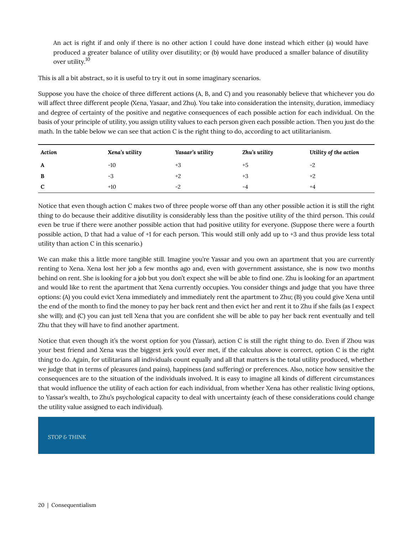An act is right if and only if there is no other action I could have done instead which either (a) would have produced a greater balance of utility over disutility; or (b) would have produced a smaller balance of disutility over utility.<sup>10</sup>

This is all a bit abstract, so it is useful to try it out in some imaginary scenarios.

Suppose you have the choice of three different actions (A, B, and C) and you reasonably believe that whichever you do will affect three different people (Xena, Yasaar, and Zhu). You take into consideration the intensity, duration, immediacy and degree of certainty of the positive and negative consequences of each possible action for each individual. On the basis of your principle of utility, you assign utility values to each person given each possible action. Then you just do the math. In the table below we can see that action C is the right thing to do, according to act utilitarianism.

| Action | Xena's utility | Yasaar's utility | Zhu's utility | Utility of the action |
|--------|----------------|------------------|---------------|-----------------------|
| A      | $-10$          | $+3$             | $+5$          | $-2$                  |
| B      | $-3$           | $+2$             | +3            | $+2$                  |
| C      | $+10$          | $-2$             | -4            | $+4$                  |

Notice that even though action C makes two of three people worse off than any other possible action it is still the right thing to do because their additive disutility is considerably less than the positive utility of the third person. This *could*  even be true if there were another possible action that had positive utility for everyone. (Suppose there were a fourth possible action, D that had a value of +1 for each person. This would still only add up to +3 and thus provide less total utility than action C in this scenario.)

We can make this a little more tangible still. Imagine you're Yassar and you own an apartment that you are currently renting to Xena. Xena lost her job a few months ago and, even with government assistance, she is now two months behind on rent. She is looking for a job but you don't expect she will be able to find one. Zhu is looking for an apartment and would like to rent the apartment that Xena currently occupies. You consider things and judge that you have three options: (A) you could evict Xena immediately and immediately rent the apartment to Zhu; (B) you could give Xena until the end of the month to find the money to pay her back rent and then evict her and rent it to Zhu if she fails (as I expect she will); and (C) you can just tell Xena that you are confident she will be able to pay her back rent eventually and tell Zhu that they will have to find another apartment.

Notice that even though it's the worst option for you (Yassar), action C is still the right thing to do. Even if Zhou was your best friend and Xena was the biggest jerk you'd ever met, if the calculus above is correct, option C is the right thing to do. Again, for utilitarians all individuals count equally and all that matters is the total utility produced, whether we judge that in terms of pleasures (and pains), happiness (and suffering) or preferences. Also, notice how sensitive the consequences are to the situation of the individuals involved. It is easy to imagine all kinds of different circumstances that would influence the utility of each action for each individual, from whether Xena has other realistic living options, to Yassar's wealth, to Zhu's psychological capacity to deal with uncertainty (each of these considerations could change the utility value assigned to each individual).

#### *STOP & THINK*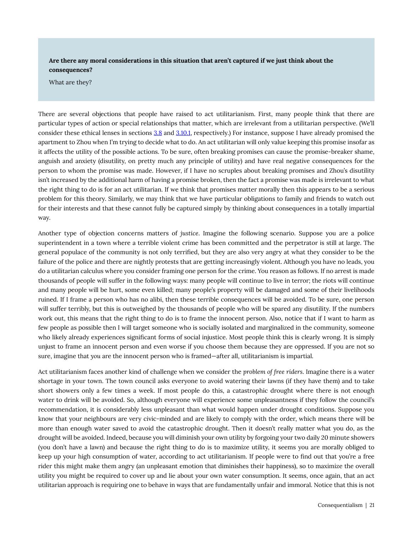**Are there any moral considerations in this situation that aren't captured if we just think about the consequences?** 

What are they?

There are several objections that people have raised to act utilitarianism. First, many people think that there are particular types of action or special relationships that matter, which are irrelevant from a utilitarian perspective. (We'll consider these ethical lenses in sections [3.8](#page-29-0) and [3.10.1](#page-37-0), respectively.) For instance, suppose I have already promised the apartment to Zhou when I'm trying to decide what to do. An act utilitarian will only value keeping this promise insofar as it affects the utility of the possible actions. To be sure, often breaking promises can cause the promise-breaker shame, anguish and anxiety (disutility, on pretty much any principle of utility) and have real negative consequences for the person to whom the promise was made. However, if I have no scruples about breaking promises and Zhou's disutility isn't increased by the additional harm of having a promise broken, then the fact a promise was made is irrelevant to what the right thing to do is for an act utilitarian. If we think that promises matter morally then this appears to be a serious problem for this theory. Similarly, we may think that we have particular obligations to family and friends to watch out for their interests and that these cannot fully be captured simply by thinking about consequences in a totally impartial way.

Another type of objection concerns matters of *justice*. Imagine the following scenario. Suppose you are a police superintendent in a town where a terrible violent crime has been committed and the perpetrator is still at large. The general populace of the community is not only terrified, but they are also very angry at what they consider to be the failure of the police and there are nightly protests that are getting increasingly violent. Although you have no leads, you do a utilitarian calculus where you consider framing one person for the crime. You reason as follows. If no arrest is made thousands of people will suffer in the following ways: many people will continue to live in terror; the riots will continue and many people will be hurt, some even killed; many people's property will be damaged and some of their livelihoods ruined. If I frame a person who has no alibi, then these terrible consequences will be avoided. To be sure, one person will suffer terribly, but this is outweighed by the thousands of people who will be spared any disutility. If the numbers work out, this means that the right thing to do is to frame the innocent person. Also, notice that if I want to harm as few people as possible then I will target someone who is socially isolated and marginalized in the community, someone who likely already experiences significant forms of social injustice. Most people think this is clearly wrong. It is simply unjust to frame an innocent person and even worse if you choose them because they are oppressed. If you are not so sure, imagine that *you* are the innocent person who is framed—after all, utilitarianism is impartial.

Act utilitarianism faces another kind of challenge when we consider the *problem of free riders*. Imagine there is a water shortage in your town. The town council asks everyone to avoid watering their lawns (if they have them) and to take short showers only a few times a week. If most people do this, a catastrophic drought where there is not enough water to drink will be avoided. So, although everyone will experience some unpleasantness if they follow the council's recommendation, it is considerably less unpleasant than what would happen under drought conditions. Suppose you know that your neighbours are very civic-minded and are likely to comply with the order, which means there will be more than enough water saved to avoid the catastrophic drought. Then it doesn't really matter what you do, as the drought will be avoided. Indeed, because you will diminish your own utility by forgoing your two daily 20 minute showers (you don't have a lawn) and because the right thing to do is to maximize utility, it seems you are morally obliged to keep up your high consumption of water, according to act utilitarianism. If people were to find out that you're a free rider this might make them angry (an unpleasant emotion that diminishes their happiness), so to maximize the overall utility you might be required to cover up and lie about your own water consumption. It seems, once again, that an act utilitarian approach is requiring one to behave in ways that are fundamentally unfair and immoral. Notice that this is not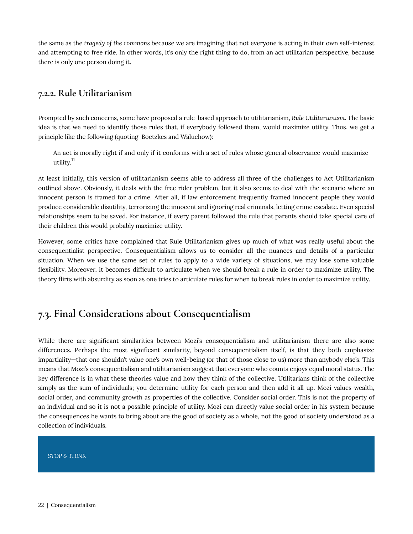the same as the *tragedy of the commons* because we are imagining that not everyone is acting in their own self-interest and attempting to free ride. In other words, it's only the right thing to do, from an act utilitarian perspective, because there is only one person doing it.

#### **7.2.2. Rule Utilitarianism**

Prompted by such concerns, some have proposed a rule-based approach to utilitarianism, *Rule Utilitarianism*. The basic idea is that we need to identify those rules that, if everybody followed them, would maximize utility. Thus, we get a principle like the following (quoting Boetzkes and Waluchow):

An act is morally right if and only if it conforms with a set of rules whose general observance would maximize utility.<sup>11</sup>

At least initially, this version of utilitarianism seems able to address all three of the challenges to Act Utilitarianism outlined above. Obviously, it deals with the free rider problem, but it also seems to deal with the scenario where an innocent person is framed for a crime. After all, if law enforcement frequently framed innocent people they would produce considerable disutility, terrorizing the innocent and ignoring real criminals, letting crime escalate. Even special relationships seem to be saved. For instance, if every parent followed the rule that parents should take special care of their children this would probably maximize utility.

However, some critics have complained that Rule Utilitarianism gives up much of what was really useful about the consequentialist perspective. Consequentialism allows us to consider all the nuances and details of a particular situation. When we use the same set of rules to apply to a wide variety of situations, we may lose some valuable flexibility. Moreover, it becomes difficult to articulate when we should break a rule in order to maximize utility. The theory flirts with absurdity as soon as one tries to articulate rules for when to break rules in order to maximize utility.

#### <span id="page-27-0"></span>**7.3. Final Considerations about Consequentialism**

While there are significant similarities between Mozi's consequentialism and utilitarianism there are also some differences. Perhaps the most significant similarity, beyond consequentialism itself, is that they both emphasize impartiality—that one shouldn't value one's own well-being (or that of those close to us) more than anybody else's. This means that Mozi's consequentialism and utilitarianism suggest that everyone who counts enjoys equal moral status. The key difference is in what these theories value and how they think of the collective. Utilitarians think of the collective simply as the sum of individuals; you determine utility for each person and then add it all up. Mozi values wealth, social order, and community growth as properties of the collective. Consider social order. This is not the property of an individual and so it is not a possible principle of utility. Mozi can directly value social order in his system because the consequences he wants to bring about are the good of society as a whole, not the good of society understood as a collection of individuals.

#### *STOP & THINK*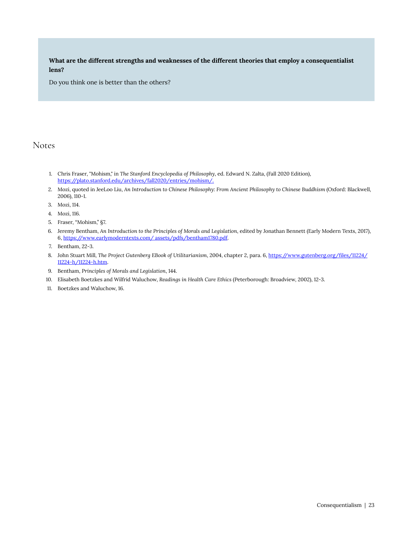**What are the different strengths and weaknesses of the different theories that employ a consequentialist lens?** 

Do you think one is better than the others?

#### Notes

- 1. Chris Fraser, "Mohism," in *The Stanford Encyclopedia of Philosophy*, ed. Edward N. Zalta, (Fall 2020 Edition), [https://plato.stanford.edu/archives/fall2020/entries/mohism/.](https://plato.stanford.edu/archives/fall2020/entries/mohism/)
- 2. Mozi, quoted in JeeLoo Liu, An Introduction to Chinese Philosophy: From Ancient Philosophy to Chinese Buddhism (Oxford: Blackwell, 2006), 110-1.
- 3. Mozi, 114.
- 4. Mozi, 116.
- 5. Fraser, "Mohism," §7.
- 6. Jeremy Bentham, *An Introduction to the Principles of Morals and Legislation*, edited by Jonathan Bennett (Early Modern Texts, 2017), 6, [https://www.earlymoderntexts.com/ assets/pdfs/bentham1780.pdf](https://www.earlymoderntexts.com/%20assets/pdfs/bentham1780.pdf).
- 7. Bentham, 22-3.
- 8. John Stuart Mill, *The Project Gutenberg EBook of Utilitarianism*, 2004, chapter 2, para. 6, [https://www.gutenberg.org/files/11224/](https://www.gutenberg.org/files/11224/11224-h/11224-h.htm) [11224-h/11224-h.htm.](https://www.gutenberg.org/files/11224/11224-h/11224-h.htm)
- 9. Bentham, *Principles of Morals and Legislation*, 144.
- 10. Elisabeth Boetzkes and Wilfrid Waluchow, *Readings in Health Care Ethics* (Peterborough: Broadview, 2002), 12-3.
- 11. Boetzkes and Waluchow, 16.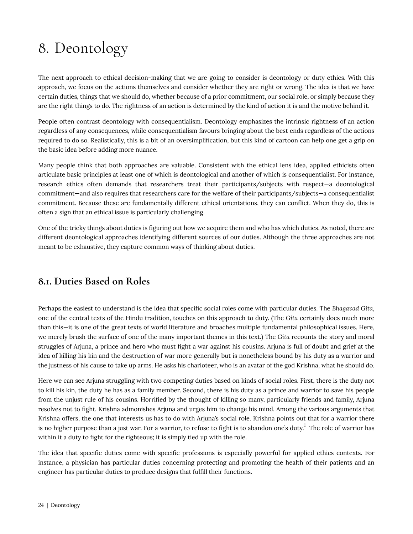# <span id="page-29-0"></span>8. Deontology

The next approach to ethical decision-making that we are going to consider is deontology or duty ethics. With this approach, we focus on the actions themselves and consider whether they are right or wrong. The idea is that we have certain duties, things that we should do, whether because of a prior commitment, our social role, or simply because they are the right things to do. The rightness of an action is determined by the kind of action it is and the motive behind it.

People often contrast deontology with consequentialism. Deontology emphasizes the intrinsic rightness of an action regardless of any consequences, while consequentialism favours bringing about the best ends regardless of the actions required to do so. Realistically, this is a bit of an oversimplification, but this kind of cartoon can help one get a grip on the basic idea before adding more nuance.

Many people think that both approaches are valuable. Consistent with the ethical lens idea, applied ethicists often articulate basic principles at least one of which is deontological and another of which is consequentialist. For instance, research ethics often demands that researchers treat their participants/subjects with respect—a deontological commitment—and also requires that researchers care for the welfare of their participants/subjects—a consequentialist commitment. Because these are fundamentally different ethical orientations, they can conflict. When they do, this is often a sign that an ethical issue is particularly challenging.

One of the tricky things about duties is figuring out how we acquire them and who has which duties. As noted, there are different deontological approaches identifying different sources of our duties. Although the three approaches are not meant to be exhaustive, they capture common ways of thinking about duties.

### <span id="page-29-1"></span>**8.1. Duties Based on Roles**

Perhaps the easiest to understand is the idea that specific social roles come with particular duties. The *Bhagavad Gita*, one of the central texts of the Hindu tradition, touches on this approach to duty. (The *Gita* certainly does much more than this—it is one of the great texts of world literature and broaches multiple fundamental philosophical issues. Here, we merely brush the surface of one of the many important themes in this text.) The *Gita* recounts the story and moral struggles of Arjuna, a prince and hero who must fight a war against his cousins. Arjuna is full of doubt and grief at the idea of killing his kin and the destruction of war more generally but is nonetheless bound by his duty as a warrior and the justness of his cause to take up arms. He asks his charioteer, who is an avatar of the god Krishna, what he should do.

Here we can see Arjuna struggling with two competing duties based on kinds of social roles. First, there is the duty not to kill his kin, the duty he has as a family member. Second, there is his duty as a prince and warrior to save his people from the unjust rule of his cousins. Horrified by the thought of killing so many, particularly friends and family, Arjuna resolves not to fight. Krishna admonishes Arjuna and urges him to change his mind. Among the various arguments that Krishna offers, the one that interests us has to do with Arjuna's social role. Krishna points out that for a warrior there is no higher purpose than a just war. For a warrior, to refuse to fight is to abandon one's duty. $^1$  The role of warrior has within it a duty to fight for the righteous; it is simply tied up with the role.

The idea that specific duties come with specific professions is especially powerful for applied ethics contexts. For instance, a physician has particular duties concerning protecting and promoting the health of their patients and an engineer has particular duties to produce designs that fulfill their functions.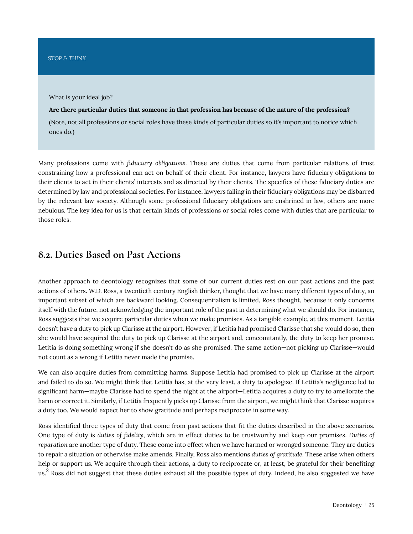What is your ideal job?

**Are there particular duties that someone in that profession has because of the nature of the profession?** 

(Note, not all professions or social roles have these kinds of particular duties so it's important to notice which ones do.)

Many professions come with *fiduciary obligations*. These are duties that come from particular relations of trust constraining how a professional can act on behalf of their client. For instance, lawyers have fiduciary obligations to their clients to act in their clients' interests and as directed by their clients. The specifics of these fiduciary duties are determined by law and professional societies. For instance, lawyers failing in their fiduciary obligations may be disbarred by the relevant law society. Although some professional fiduciary obligations are enshrined in law, others are more nebulous. The key idea for us is that certain kinds of professions or social roles come with duties that are particular to those roles.

#### <span id="page-30-0"></span>**8.2. Duties Based on Past Actions**

Another approach to deontology recognizes that some of our current duties rest on our past actions and the past actions of others. W.D. Ross, a twentieth century English thinker, thought that we have many different types of duty, an important subset of which are backward looking. Consequentialism is limited, Ross thought, because it only concerns itself with the future, not acknowledging the important role of the past in determining what we should do. For instance, Ross suggests that we acquire particular duties when we make promises. As a tangible example, at this moment, Letitia doesn't have a duty to pick up Clarisse at the airport. However, if Letitia had promised Clarisse that she would do so, then she would have acquired the duty to pick up Clarisse at the airport and, concomitantly, the duty to keep her promise. Letitia is doing something wrong if she doesn't do as she promised. The same action—not picking up Clarisse—would not count as a wrong if Letitia never made the promise.

We can also acquire duties from committing harms. Suppose Letitia had promised to pick up Clarisse at the airport and failed to do so. We might think that Letitia has, at the very least, a duty to apologize. If Letitia's negligence led to significant harm—maybe Clarisse had to spend the night at the airport—Letitia acquires a duty to try to ameliorate the harm or correct it. Similarly, if Letitia frequently picks up Clarisse from the airport, we might think that Clarisse acquires a duty too. We would expect her to show gratitude and perhaps reciprocate in some way.

Ross identified three types of duty that come from past actions that fit the duties described in the above scenarios. One type of duty is *duties of fidelity*, which are in effect duties to be trustworthy and keep our promises. *Duties of reparation* are another type of duty. These come into effect when we have harmed or wronged someone. They are duties to repair a situation or otherwise make amends. Finally, Ross also mentions *duties of gratitude*. These arise when others help or support us. We acquire through their actions, a duty to reciprocate or, at least, be grateful for their benefiting us. $^2$  Ross did not suggest that these duties exhaust all the possible types of duty. Indeed, he also suggested we have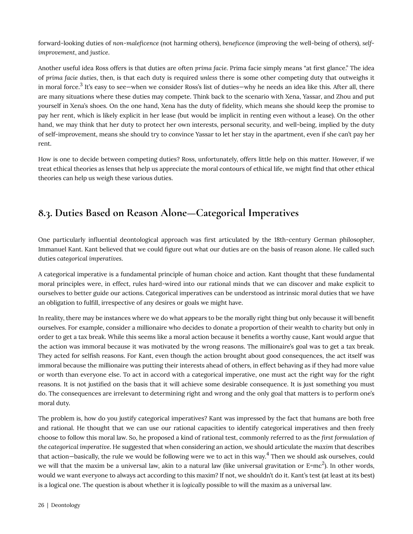forward-looking duties of *non-maleficence* (not harming others), *beneficence* (improving the well-being of others), *selfimprovement*, and *justice*.

Another useful idea Ross offers is that duties are often *prima facie*. Prima facie simply means "at first glance." The idea of *prima facie duties*, then, is that each duty is required *unless* there is some other competing duty that outweighs it in moral force. $^3$  It's easy to see—when we consider Ross's list of duties—why he needs an idea like this. After all, there are many situations where these duties may compete. Think back to the scenario with Xena, Yassar, and Zhou and put yourself in Xena's shoes. On the one hand, Xena has the duty of fidelity, which means she should keep the promise to pay her rent, which is likely explicit in her lease (but would be implicit in renting even without a lease). On the other hand, we may think that her duty to protect her own interests, personal security, and well-being, implied by the duty of self-improvement, means she should try to convince Yassar to let her stay in the apartment, even if she can't pay her rent.

How is one to decide between competing duties? Ross, unfortunately, offers little help on this matter. However, if we treat ethical theories as lenses that help us appreciate the moral contours of ethical life, we might find that other ethical theories can help us weigh these various duties.

### <span id="page-31-0"></span>**8.3. Duties Based on Reason Alone—Categorical Imperatives**

One particularly influential deontological approach was first articulated by the 18th-century German philosopher, Immanuel Kant. Kant believed that we could figure out what our duties are on the basis of reason alone. He called such duties *categorical imperatives*.

A categorical imperative is a fundamental principle of human choice and action. Kant thought that these fundamental moral principles were, in effect, rules hard-wired into our rational minds that we can discover and make explicit to ourselves to better guide our actions. Categorical imperatives can be understood as intrinsic moral duties that we have an obligation to fulfill, irrespective of any desires or goals we might have.

In reality, there may be instances where we do what appears to be the morally right thing but only because it will benefit ourselves. For example, consider a millionaire who decides to donate a proportion of their wealth to charity but only in order to get a tax break. While this seems like a moral action because it benefits a worthy cause, Kant would argue that the action was immoral because it was motivated by the wrong reasons. The millionaire's goal was to get a tax break. They acted for selfish reasons. For Kant, even though the action brought about good consequences, the act itself was immoral because the millionaire was putting their interests ahead of others, in effect behaving as if they had more value or worth than everyone else. To act in accord with a categorical imperative, one must act the right way for the right reasons. It is not justified on the basis that it will achieve some desirable consequence. It is just something you must do. The consequences are irrelevant to determining right and wrong and the only goal that matters is to perform one's moral duty.

The problem is, how do you justify categorical imperatives? Kant was impressed by the fact that humans are both free and rational. He thought that we can use our rational capacities to identify categorical imperatives and then freely choose to follow this moral law. So, he proposed a kind of rational test, commonly referred to as the *first formulation of the categorical imperative*. He suggested that when considering an action, we should articulate the *maxim* that describes that action—basically, the rule we would be following were we to act in this way. $^4$  Then we should ask ourselves, could we will that the maxim be a universal law, akin to a natural law (like universal gravitation or E=mc<sup>2</sup>). In other words, would we want everyone to always act according to this maxim? If not, we shouldn't do it. Kant's test (at least at its best) is a logical one. The question is about whether it is *logically* possible to will the maxim as a universal law.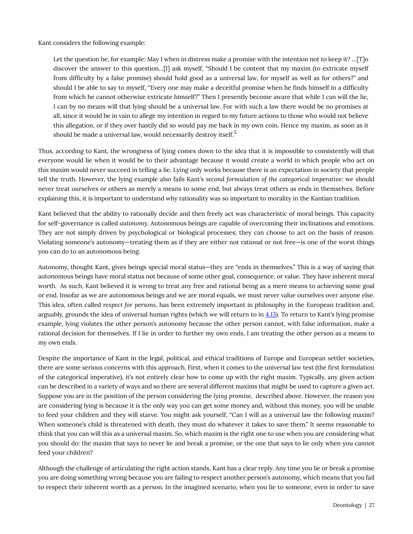Kant considers the following example:

Let the question be, for example: May I when in distress make a promise with the intention not to keep it? …[T]o discover the answer to this question…[I] ask myself, "Should I be content that my maxim (to extricate myself from difficulty by a false promise) should hold good as a universal law, for myself as well as for others?" and should I be able to say to myself, "Every one may make a deceitful promise when he finds himself in a difficulty from which he cannot otherwise extricate himself?" Then I presently become aware that while I can will the lie, I can by no means will that lying should be a universal law. For with such a law there would be no promises at all, since it would be in vain to allege my intention in regard to my future actions to those who would not believe this allegation, or if they over hastily did so would pay me back in my own coin. Hence my maxim, as soon as it should be made a universal law, would necessarily destroy itself.<sup>5</sup>

Thus, according to Kant, the wrongness of lying comes down to the idea that it is impossible to consistently will that everyone would lie when it would be to their advantage because it would create a world in which people who act on this maxim would never succeed in telling a lie. Lying only works because there is an expectation in society that people tell the truth. However, the lying example also fails Kant's *second formulation of the categorical imperative*: we should never treat ourselves or others as merely a means to some end, but always treat others as ends in themselves. Before explaining this, it is important to understand why rationality was so important to morality in the Kantian tradition.

Kant believed that the ability to rationally decide and then freely act was characteristic of moral beings. This capacity for self-governance is called *autonomy*. Autonomous beings are capable of overcoming their inclinations and emotions. They are not simply driven by psychological or biological processes; they can choose to act on the basis of reason. Violating someone's autonomy—treating them as if they are either not rational or not free—is one of the worst things you can do to an autonomous being.

Autonomy, thought Kant, gives beings special moral status—they are "ends in themselves." This is a way of saying that autonomous beings have moral status not because of some other goal, consequence, or value. They have inherent moral worth. As such, Kant believed it is wrong to treat any free and rational being as a mere means to achieving some goal or end. Insofar as we are autonomous beings and we are moral equals, we must never value ourselves over anyone else. This idea, often called *respect for persons*, has been extremely important in philosophy in the European tradition and, arguably, grounds the idea of universal human rights (which we will return to in [4.13](#page-46-0)). To return to Kant's lying promise example, lying violates the other person's autonomy because the other person cannot, with false information, make a rational decision for themselves. If I lie in order to further my own ends, I am treating the other person as a means to my own ends.

Despite the importance of Kant in the legal, political, and ethical traditions of Europe and European settler societies, there are some serious concerns with this approach. First, when it comes to the universal law test (the first formulation of the categorical imperative), it's not entirely clear how to come up with the right maxim. Typically, any given action can be described in a variety of ways and so there are several different maxims that might be used to capture a given act. Suppose you are in the position of the person considering the *lying promise*, described above. However, the reason you are considering lying is because it is the only way you can get some money and, without this money, you will be unable to feed your children and they will starve. You might ask yourself, "Can I will as a universal law the following maxim? When someone's child is threatened with death, they must do whatever it takes to save them." It seems reasonable to think that you can will this as a universal maxim. So, which maxim is the right one to use when you are considering what you should do: the maxim that says to never lie and break a promise, or the one that says to lie only when you cannot feed your children?

Although the challenge of articulating the right action stands, Kant has a clear reply. Any time you lie or break a promise you are doing something wrong because you are failing to respect another person's autonomy, which means that you fail to respect their inherent worth as a person. In the imagined scenario, when you lie to someone, even in order to save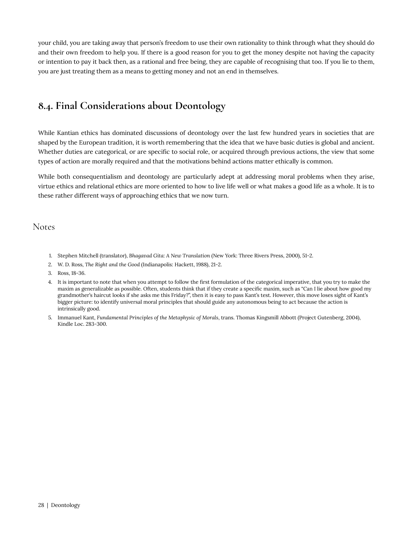your child, you are taking away that person's freedom to use their own rationality to think through what they should do and their own freedom to help you. If there is a good reason for you to get the money despite not having the capacity or intention to pay it back then, as a rational and free being, they are capable of recognising that too. If you lie to them, you are just treating them as a means to getting money and not an end in themselves.

### <span id="page-33-0"></span>**8.4. Final Considerations about Deontology**

While Kantian ethics has dominated discussions of deontology over the last few hundred years in societies that are shaped by the European tradition, it is worth remembering that the idea that we have basic duties is global and ancient. Whether duties are categorical, or are specific to social role, or acquired through previous actions, the view that some types of action are morally required and that the motivations behind actions matter ethically is common.

While both consequentialism and deontology are particularly adept at addressing moral problems when they arise, virtue ethics and relational ethics are more oriented to how to live life well or what makes a good life as a whole. It is to these rather different ways of approaching ethics that we now turn.

Notes

- 1. Stephen Mitchell (translator), *Bhagavad Gita: A New Translation* (New York: Three Rivers Press, 2000), 51-2.
- 2. W. D. Ross, *The Right and the Good* (Indianapolis: Hackett, 1988), 21-2.
- 3. Ross, 18-36.
- 4. It is important to note that when you attempt to follow the first formulation of the categorical imperative, that you try to make the maxim as generalizable as possible. Often, students think that if they create a specific maxim, such as "Can I lie about how good my grandmother's haircut looks if she asks me this Friday?", then it is easy to pass Kant's test. However, this move loses sight of Kant's bigger picture: to identify universal moral principles that should guide any autonomous being to act because the action is intrinsically good.
- 5. Immanuel Kant, *Fundamental Principles of the Metaphysic of Morals*, trans. Thomas Kingsmill Abbott (Project Gutenberg, 2004), Kindle Loc. 283-300.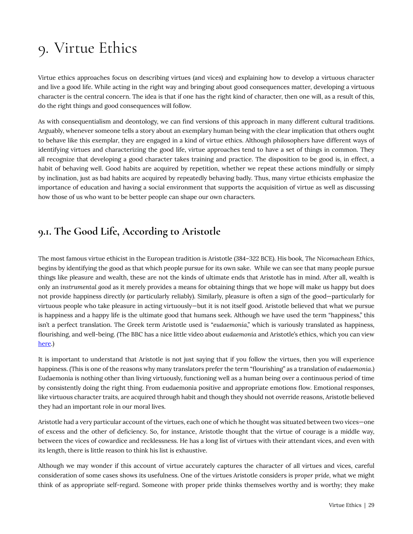# <span id="page-34-0"></span>9. Virtue Ethics

Virtue ethics approaches focus on describing virtues (and vices) and explaining how to develop a virtuous character and live a good life. While acting in the right way and bringing about good consequences matter, developing a virtuous character is the central concern. The idea is that if one has the right kind of character, then one will, as a result of this, do the right things and good consequences will follow.

As with consequentialism and deontology, we can find versions of this approach in many different cultural traditions. Arguably, whenever someone tells a story about an exemplary human being with the clear implication that others ought to behave like this exemplar, they are engaged in a kind of virtue ethics. Although philosophers have different ways of identifying virtues and characterizing the good life, virtue approaches tend to have a set of things in common. They all recognize that developing a good character takes training and practice. The disposition to be good is, in effect, a habit of behaving well. Good habits are acquired by repetition, whether we repeat these actions mindfully or simply by inclination, just as bad habits are acquired by repeatedly behaving badly. Thus, many virtue ethicists emphasize the importance of education and having a social environment that supports the acquisition of virtue as well as discussing how those of us who want to be better people can shape our own characters.

### <span id="page-34-1"></span>**9.1. The Good Life, According to Aristotle**

The most famous virtue ethicist in the European tradition is Aristotle (384–322 BCE). His book, *The Nicomachean Ethics*, begins by identifying the good as that which people pursue for its own sake. While we can see that many people pursue things like pleasure and wealth, these are not the kinds of ultimate ends that Aristotle has in mind. After all, wealth is only an *instrumental good* as it merely provides a means for obtaining things that we hope will make us happy but does not provide happiness directly (or particularly reliably). Similarly, pleasure is often a sign of the good—particularly for virtuous people who take pleasure in acting virtuously—but it is not itself good. Aristotle believed that what we pursue is happiness and a happy life is the ultimate good that humans seek. Although we have used the term "happiness," this isn't a perfect translation. The Greek term Aristotle used is "*eudaemonia*," which is variously translated as happiness, flourishing, and well-being. (The BBC has a nice little video about *eudaemonia* and Aristotle's ethics, which you can view [here.](https://www.bbc.co.uk/programmes/p02n2bhz))

It is important to understand that Aristotle is not just saying that if you follow the virtues, then you will experience happiness. (This is one of the reasons why many translators prefer the term "flourishing" as a translation of *eudaemonia*.) Eudaemonia is nothing other than living virtuously, functioning well as a human being over a continuous period of time by consistently doing the right thing. From eudaemonia positive and appropriate emotions flow. Emotional responses, like virtuous character traits, are acquired through habit and though they should not override reasons, Aristotle believed they had an important role in our moral lives.

Aristotle had a very particular account of the virtues, each one of which he thought was situated between two vices—one of excess and the other of deficiency. So, for instance, Aristotle thought that the virtue of courage is a middle way, between the vices of cowardice and recklessness. He has a long list of virtues with their attendant vices, and even with its length, there is little reason to think his list is exhaustive.

Although we may wonder if this account of virtue accurately captures the character of all virtues and vices, careful consideration of some cases shows its usefulness. One of the virtues Aristotle considers is *proper pride*, what we might think of as appropriate self-regard. Someone with proper pride thinks themselves worthy and is worthy; they make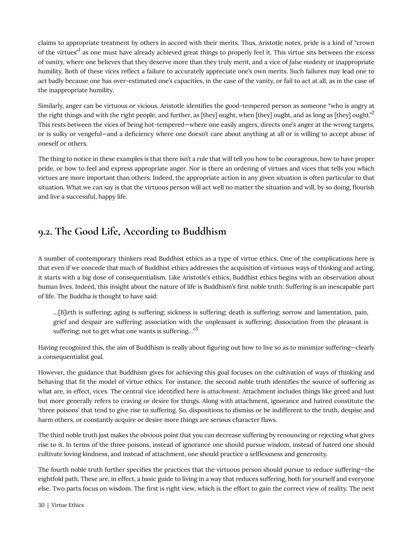claims to appropriate treatment by others in accord with their merits. Thus, Aristotle notes, pride is a kind of "crown of the virtues" as one must have already achieved great things to properly feel it. This virtue sits between the excess of *vanity*, where one believes that they deserve more than they truly merit, and a vice of *false modesty* or inappropriate humility. Both of these vices reflect a failure to accurately appreciate one's own merits. Such failures may lead one to act badly because one has over-estimated one's capacities, in the case of the vanity, or fail to act at all, as in the case of the inappropriate humility.

Similarly, anger can be virtuous or vicious. Aristotle identifies the good-tempered person as someone "who is angry at the right things and with the right people, and further, as [they] ought, when [they] ought, and as long as [they] ought." $^2$ This rests between the vices of being hot-tempered—where one easily angers, directs one's anger at the wrong targets, or is sulky or vengeful—and a deficiency where one doesn't care about anything at all or is willing to accept abuse of oneself or others.

The thing to notice in these examples is that there isn't a rule that will tell you how to be courageous, how to have proper pride, or how to feel and express appropriate anger. Nor is there an ordering of virtues and vices that tells you which virtues are more important than others. Indeed, the appropriate action in any given situation is often particular to that situation. What we can say is that the virtuous person will act well no matter the situation and will, by so doing, flourish and live a successful, happy life.

### <span id="page-35-0"></span>**9.2. The Good Life, According to Buddhism**

A number of contemporary thinkers read Buddhist ethics as a type of virtue ethics. One of the complications here is that even if we concede that much of Buddhist ethics addresses the acquisition of virtuous ways of thinking and acting, it starts with a big dose of consequentialism. Like Aristotle's ethics, Buddhist ethics begins with an observation about human lives. Indeed, this insight about the nature of life is Buddhism's first noble truth: Suffering is an inescapable part of life. The Buddha is thought to have said:

…[B]irth is suffering; aging is suffering; sickness is suffering; death is suffering; sorrow and lamentation, pain, grief and despair are suffering; association with the unpleasant is suffering; dissociation from the pleasant is suffering; not to get what one wants is suffering... $^{\cdot3}$ 

Having recognized this, the aim of Buddhism is really about figuring out how to live so as to minimize suffering—clearly a consequentialist goal.

However, the guidance that Buddhism gives for achieving this goal focuses on the cultivation of ways of thinking and behaving that fit the model of virtue ethics. For instance, the second noble truth identifies the source of suffering as what are, in effect, vices. The central vice identified here is *attachment*. Attachment includes things like greed and lust but more generally refers to craving or desire for things. Along with attachment, ignorance and hatred constitute the 'three poisons' that tend to give rise to suffering. So, dispositions to dismiss or be indifferent to the truth, despise and harm others, or constantly acquire or desire more things are serious character flaws.

The third noble truth just makes the obvious point that you can decrease suffering by renouncing or rejecting what gives rise to it. In terms of the three poisons, instead of ignorance one should pursue wisdom, instead of hatred one should cultivate loving kindness, and instead of attachment, one should practice a selflessness and generosity.

The fourth noble truth further specifies the practices that the virtuous person should pursue to reduce suffering—the eightfold path. These are, in effect, a basic guide to living in a way that reduces suffering, both for yourself and everyone else. Two parts focus on wisdom. The first is right view, which is the effort to gain the correct view of reality. The next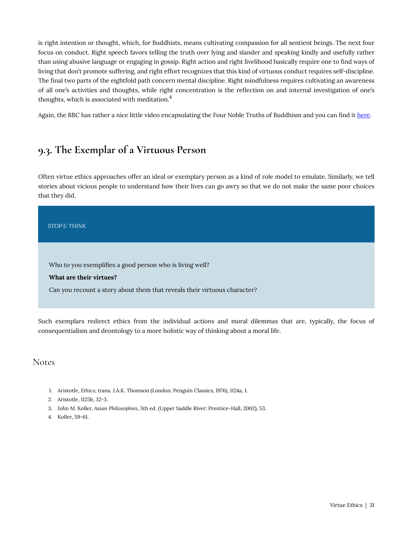is right intention or thought, which, for Buddhists, means cultivating compassion for all sentient beings. The next four focus on conduct. Right speech favors telling the truth over lying and slander and speaking kindly and usefully rather than using abusive language or engaging in gossip. Right action and right livelihood basically require one to find ways of living that don't promote suffering, and right effort recognizes that this kind of virtuous conduct requires self-discipline. The final two parts of the eightfold path concern mental discipline. Right mindfulness requires cultivating an awareness of all one's activities and thoughts, while right concentration is the reflection on and internal investigation of one's thoughts, which is associated with meditation.<sup>4</sup>

Again, the BBC has rather a nice little video encapsulating the Four Noble Truths of Buddhism and you can find it [here.](https://www.bbc.co.uk/programmes/p02mrlbg)

### <span id="page-36-0"></span>**9.3. The Exemplar of a Virtuous Person**

Often virtue ethics approaches offer an ideal or exemplary person as a kind of role model to emulate. Similarly, we tell stories about vicious people to understand how their lives can go awry so that we do not make the same poor choices that they did.

*STOP & THINK* 

Who to you exemplifies a good person who is living well?

**What are their virtues?** 

Can you recount a story about them that reveals their virtuous character?

Such exemplars redirect ethics from the individual actions and moral dilemmas that are, typically, the focus of consequentialism and deontology to a more holistic way of thinking about a moral life.

Notes

- 1. Aristotle, *Ethics*, trans. J.A.K. Thomson (London: Penguin Classics, 1976), 1124a, 1.
- 2. Aristotle, 1125b, 32-3.
- 3. John M. Koller, *Asian Philosophies*, 5th ed. (Upper Saddle River: Prentice-Hall, 2002), 53.
- 4. Koller, 59-61.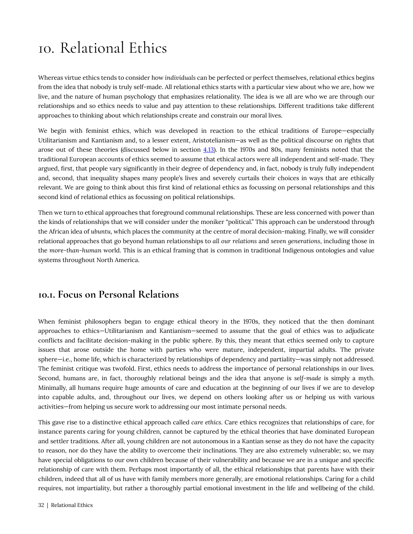## <span id="page-37-0"></span>10. Relational Ethics

Whereas virtue ethics tends to consider how *individuals* can be perfected or perfect themselves, relational ethics begins from the idea that nobody is truly self-made. All relational ethics starts with a particular view about who we are, how we live, and the nature of human psychology that emphasizes relationality. The idea is we all are who we are through our relationships and so ethics needs to value and pay attention to these relationships. Different traditions take different approaches to thinking about which relationships create and constrain our moral lives.

We begin with feminist ethics, which was developed in reaction to the ethical traditions of Europe—especially Utilitarianism and Kantianism and, to a lesser extent, Aristotelianism—as well as the political discourse on rights that arose out of these theories (discussed below in section  $4.13$ ). In the 1970s and 80s, many feminists noted that the traditional European accounts of ethics seemed to assume that ethical actors were all independent and self-made. They argued, first, that people vary significantly in their degree of dependency and, in fact, nobody is truly fully independent and, second, that inequality shapes many people's lives and severely curtails their choices in ways that are ethically relevant. We are going to think about this first kind of relational ethics as focussing on personal relationships and this second kind of relational ethics as focussing on political relationships.

Then we turn to ethical approaches that foreground communal relationships. These are less concerned with power than the kinds of relationships that we will consider under the moniker "political." This approach can be understood through the African idea of *ubuntu*, which places the community at the centre of moral decision-making. Finally, we will consider relational approaches that go beyond human relationships to *all our relations* and *seven generations*, including those in the *more-than-human* world. This is an ethical framing that is common in traditional Indigenous ontologies and value systems throughout North America.

#### <span id="page-37-1"></span>**10.1. Focus on Personal Relations**

When feminist philosophers began to engage ethical theory in the 1970s, they noticed that the then dominant approaches to ethics—Utilitarianism and Kantianism—seemed to assume that the goal of ethics was to adjudicate conflicts and facilitate decision-making in the public sphere. By this, they meant that ethics seemed only to capture issues that arose outside the home with parties who were mature, independent, impartial adults. The private sphere—i.e., home life, which is characterized by relationships of dependency and partiality—was simply not addressed. The feminist critique was twofold. First, ethics needs to address the importance of personal relationships in our lives. Second, humans are, in fact, thoroughly relational beings and the idea that anyone is *self-made* is simply a myth. Minimally, all humans require huge amounts of care and education at the beginning of our lives if we are to develop into capable adults, and, throughout our lives, we depend on others looking after us or helping us with various activities—from helping us secure work to addressing our most intimate personal needs.

This gave rise to a distinctive ethical approach called *care ethics*. Care ethics recognizes that relationships of care, for instance parents caring for young children, cannot be captured by the ethical theories that have dominated European and settler traditions. After all, young children are not autonomous in a Kantian sense as they do not have the capacity to reason, nor do they have the ability to overcome their inclinations. They are also extremely vulnerable; so, we may have special obligations to our own children because of their vulnerability and because we are in a unique and specific relationship of care with them. Perhaps most importantly of all, the ethical relationships that parents have with their children, indeed that all of us have with family members more generally, are emotional relationships. Caring for a child requires, not impartiality, but rather a thoroughly partial emotional investment in the life and wellbeing of the child.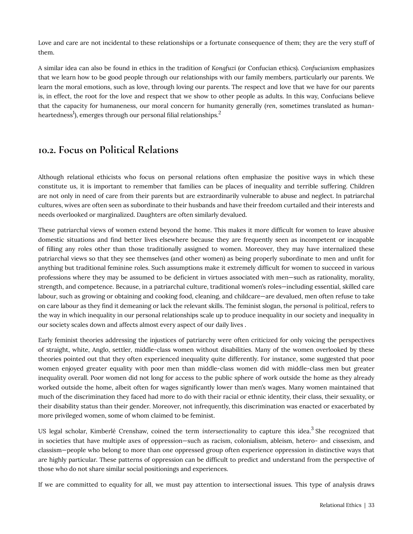Love and care are not incidental to these relationships or a fortunate consequence of them; they are the very stuff of them.

A similar idea can also be found in ethics in the tradition of *Kongfuzi* (or Confucian ethics). *Confucianism* emphasizes that we learn how to be good people through our relationships with our family members, particularly our parents. We learn the moral emotions, such as love, through loving our parents. The respect and love that we have for our parents is, in effect, the root for the love and respect that we show to other people as adults. In this way, Confucians believe that the capacity for humaneness, our moral concern for humanity generally (*ren*, sometimes translated as humanheartedness $^{\rm l}$ ), emerges through our personal filial relationships. $^{\rm 2}$ 

#### <span id="page-38-0"></span>**10.2. Focus on Political Relations**

Although relational ethicists who focus on personal relations often emphasize the positive ways in which these constitute us, it is important to remember that families can be places of inequality and terrible suffering. Children are not only in need of care from their parents but are extraordinarily vulnerable to abuse and neglect. In patriarchal cultures, wives are often seen as subordinate to their husbands and have their freedom curtailed and their interests and needs overlooked or marginalized. Daughters are often similarly devalued.

These patriarchal views of women extend beyond the home. This makes it more difficult for women to leave abusive domestic situations and find better lives elsewhere because they are frequently seen as incompetent or incapable of filling any roles other than those traditionally assigned to women. Moreover, they may have internalized these patriarchal views so that they see themselves (and other women) as being properly subordinate to men and unfit for anything but traditional feminine roles. Such assumptions make it extremely difficult for women to succeed in various professions where they may be assumed to be deficient in virtues associated with men—such as rationality, morality, strength, and competence. Because, in a patriarchal culture, traditional women's roles—including essential, skilled care labour, such as growing or obtaining and cooking food, cleaning, and childcare—are devalued, men often refuse to take on care labour as they find it demeaning or lack the relevant skills. The feminist slogan, *the personal is political*, refers to the way in which inequality in our personal relationships scale up to produce inequality in our society and inequality in our society scales down and affects almost every aspect of our daily lives .

Early feminist theories addressing the injustices of patriarchy were often criticized for only voicing the perspectives of straight, white, Anglo, settler, middle-class women without disabilities. Many of the women overlooked by these theories pointed out that they often experienced inequality quite differently. For instance, some suggested that poor women enjoyed greater equality with poor men than middle-class women did with middle-class men but greater inequality overall. Poor women did not long for access to the public sphere of work outside the home as they already worked outside the home, albeit often for wages significantly lower than men's wages. Many women maintained that much of the discrimination they faced had more to do with their racial or ethnic identity, their class, their sexuality, or their disability status than their gender. Moreover, not infrequently, this discrimination was enacted or exacerbated by more privileged women, some of whom claimed to be feminist.

US legal scholar, Kimberlé Crenshaw, coined the term *intersectionality to capture this idea.<sup>3</sup> She recognized that* in societies that have multiple axes of oppression—such as racism, colonialism, ableism, hetero- and cissexism, and classism—people who belong to more than one oppressed group often experience oppression in distinctive ways that are highly particular. These patterns of oppression can be difficult to predict and understand from the perspective of those who do not share similar social positionings and experiences.

If we are committed to equality for all, we must pay attention to intersectional issues. This type of analysis draws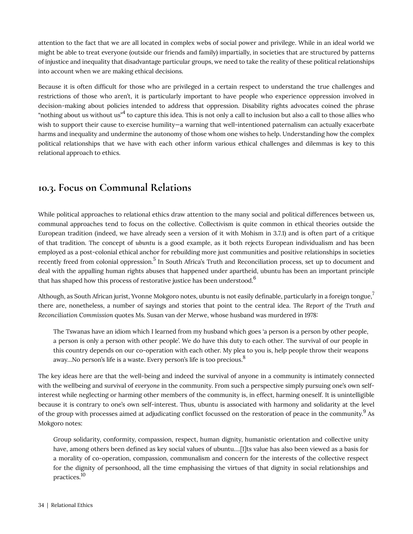attention to the fact that we are all located in complex webs of social power and privilege. While in an ideal world we might be able to treat everyone (outside our friends and family) impartially, in societies that are structured by patterns of injustice and inequality that disadvantage particular groups, we need to take the reality of these political relationships into account when we are making ethical decisions.

Because it is often difficult for those who are privileged in a certain respect to understand the true challenges and restrictions of those who aren't, it is particularly important to have people who experience oppression involved in decision-making about policies intended to address that oppression. Disability rights advocates coined the phrase "nothing about us without us" $^4$  to capture this idea. This is not only a call to inclusion but also a call to those allies who wish to support their cause to exercise humility—a warning that well-intentioned paternalism can actually exacerbate harms and inequality and undermine the autonomy of those whom one wishes to help. Understanding how the complex political relationships that we have with each other inform various ethical challenges and dilemmas is key to this relational approach to ethics.

### <span id="page-39-0"></span>**10.3. Focus on Communal Relations**

While political approaches to relational ethics draw attention to the many social and political differences between us, communal approaches tend to focus on the collective. Collectivism is quite common in ethical theories outside the European tradition (indeed, we have already seen a version of it with Mohism in 3.7.1) and is often part of a critique of that tradition. The concept of *ubuntu* is a good example, as it both rejects European individualism and has been employed as a post-colonial ethical anchor for rebuilding more just communities and positive relationships in societies recently freed from colonial oppression.<sup>5</sup> In South Africa's Truth and Reconciliation process, set up to document and deal with the appalling human rights abuses that happened under apartheid, ubuntu has been an important principle that has shaped how this process of restorative justice has been understood.<sup>6</sup>

Although, as South African jurist, Yvonne Mokgoro notes, ubuntu is not easily definable, particularly in a foreign tongue, $\dot{\ }$ there are, nonetheless, a number of sayings and stories that point to the central idea. *The Report of the Truth and Reconciliation Commission* quotes Ms. Susan van der Merwe, whose husband was murdered in 1978:

The Tswanas have an idiom which I learned from my husband which goes 'a person is a person by other people, a person is only a person with other people'. We do have this duty to each other. The survival of our people in this country depends on our co-operation with each other. My plea to you is, help people throw their weapons away...No person's life is a waste. Every person's life is too precious.<sup>8</sup>

The key ideas here are that the well-being and indeed the survival of anyone in a community is intimately connected with the wellbeing and survival of *everyone* in the community. From such a perspective simply pursuing one's own selfinterest while neglecting or harming other members of the community is, in effect, harming oneself. It is unintelligible because it is contrary to one's own self-interest. Thus, ubuntu is associated with harmony and solidarity at the level of the group with processes aimed at adjudicating conflict focussed on the restoration of peace in the community. $^9$  As Mokgoro notes:

Group solidarity, conformity, compassion, respect, human dignity, humanistic orientation and collective unity have, among others been defined as key social values of ubuntu....[I]ts value has also been viewed as a basis for a morality of co-operation, compassion, communalism and concern for the interests of the collective respect for the dignity of personhood, all the time emphasising the virtues of that dignity in social relationships and practices.<sup>10</sup>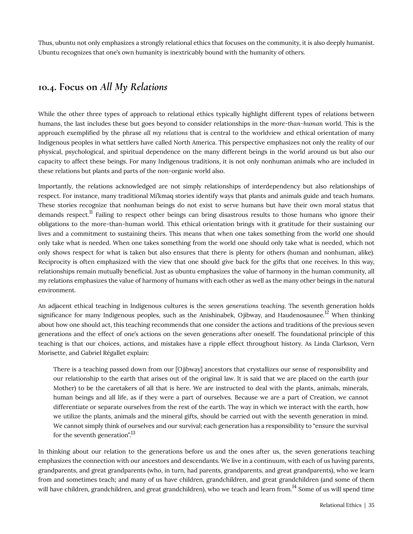Thus, ubuntu not only emphasizes a strongly relational ethics that focuses on the community, it is also deeply humanist. Ubuntu recognizes that one's own humanity is inextricably bound with the humanity of others.

#### <span id="page-40-0"></span>**10.4. Focus on** *All My Relations*

While the other three types of approach to relational ethics typically highlight different types of relations between humans, the last includes these but goes beyond to consider relationships in the *more-than-human* world. This is the approach exemplified by the phrase *all my relations* that is central to the worldview and ethical orientation of many Indigenous peoples in what settlers have called North America. This perspective emphasizes not only the reality of our physical, psychological, and spiritual dependence on the many different beings in the world around us but also our capacity to affect these beings. For many Indigenous traditions, it is not only nonhuman animals who are included in these relations but plants and parts of the non-organic world also.

Importantly, the relations acknowledged are not simply relationships of interdependency but also relationships of respect. For instance, many traditional Mi'kmaq stories identify ways that plants and animals guide and teach humans. These stories recognize that nonhuman beings do not exist to serve humans but have their own moral status that demands respect.<sup>11</sup> Failing to respect other beings can bring disastrous results to those humans who ignore their obligations to the more-than-human world. This ethical orientation brings with it gratitude for their sustaining our lives and a commitment to sustaining theirs. This means that when one takes something from the world one should only take what is needed. When one takes something from the world one should only take what is needed, which not only shows respect for what is taken but also ensures that there is plenty for others (human and nonhuman, alike). Reciprocity is often emphasized with the view that one should give back for the gifts that one receives. In this way, relationships remain mutually beneficial. Just as ubuntu emphasizes the value of harmony in the human community, all my relations emphasizes the value of harmony of humans with each other as well as the many other beings in the natural environment.

An adjacent ethical teaching in Indigenous cultures is the *seven generations teaching.* The seventh generation holds significance for many Indigenous peoples, such as the Anishinabek, Ojibway, and Haudenosaunee.<sup>12</sup> When thinking about how one should act, this teaching recommends that one consider the actions and traditions of the previous seven generations and the effect of one's actions on the seven generations after oneself. The foundational principle of this teaching is that our choices, actions, and mistakes have a ripple effect throughout history. As Linda Clarkson, Vern Morisette, and Gabriel Régallet explain:

There is a teaching passed down from our [Ojibway] ancestors that crystallizes our sense of responsibility and our relationship to the earth that arises out of the original law. It is said that we are placed on the earth (our Mother) to be the caretakers of all that is here. We are instructed to deal with the plants, animals, minerals, human beings and all life, as if they were a part of ourselves. Because we are a part of Creation, we cannot differentiate or separate ourselves from the rest of the earth. The way in which we interact with the earth, how we utilize the plants, animals and the mineral gifts, should be carried out with the seventh generation in mind. We cannot simply think of ourselves and our survival; each generation has a responsibility to "ensure the survival for the seventh generation". $^{13}$ 

In thinking about our relation to the generations before us and the ones after us, the seven generations teaching emphasizes the connection with our ancestors and descendants. We live in a continuum, with each of us having parents, grandparents, and great grandparents (who, in turn, had parents, grandparents, and great grandparents), who we learn from and sometimes teach; and many of us have children, grandchildren, and great grandchildren (and some of them will have children, grandchildren, and great grandchildren), who we teach and learn from.<sup>14</sup> Some of us will spend time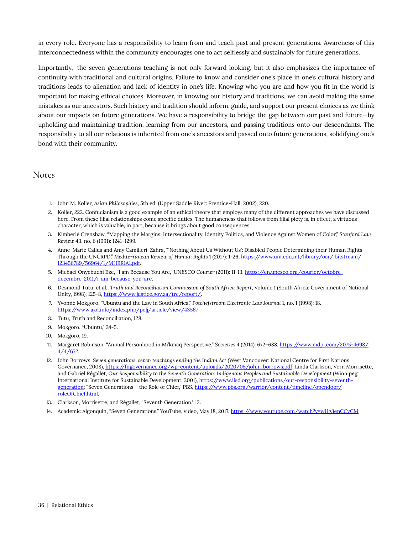in every role. Everyone has a responsibility to learn from and teach past and present generations. Awareness of this interconnectedness within the community encourages one to act selflessly and sustainably for future generations.

Importantly, the seven generations teaching is not only forward looking, but it also emphasizes the importance of continuity with traditional and cultural origins. Failure to know and consider one's place in one's cultural history and traditions leads to alienation and lack of identity in one's life. Knowing who you are and how you fit in the world is important for making ethical choices. Moreover, in knowing our history and traditions, we can avoid making the same mistakes as our ancestors. Such history and tradition should inform, guide, and support our present choices as we think about our impacts on future generations. We have a responsibility to bridge the gap between our past and future—by upholding and maintaining tradition, learning from our ancestors, and passing traditions onto our descendants. The responsibility to all our relations is inherited from one's ancestors and passed onto future generations, solidifying one's bond with their community.

#### Notes

- 1. John M. Koller, *Asian Philosophies*, 5th ed. (Upper Saddle River: Prentice-Hall, 2002), 220.
- 2. Koller, 222. Confucianism is a good example of an ethical theory that employs many of the different approaches we have discussed here. From these filial relationships come specific duties. The humaneness that follows from filial piety is, in effect, a virtuous character, which is valuable, in part, because it brings about good consequences.
- 3. Kimberlé Crenshaw, "Mapping the Margins: Intersectionality, Identity Politics, and Violence Against Women of Color," *Stanford Law Review* 43, no. 6 (1991): 1241–1299.
- 4. Anne-Marie Callus and Amy Camilleri-Zahra, "'Nothing About Us Without Us': Disabled People Determining their Human Rights Through the UNCRPD," *Mediterranean Review of Human Rights* 1 (2017): 1-26, [https://www.um.edu.mt/library/oar/ bitstream/](https://www.um.edu.mt/library/oar/%20bitstream/123456789/56964/1/MHRR1A1.pdf) [123456789/56964/1/MHRR1A1.pdf.](https://www.um.edu.mt/library/oar/%20bitstream/123456789/56964/1/MHRR1A1.pdf)
- 5. Michael Onyebuchi Eze, "I am Because You Are," *UNESCO Courier* (2011): 11-13, [https://en.unesco.org/courier/octobre](https://en.unesco.org/courier/octobre-decembre-2011/i-am-because-you-are)[decembre-2011/i-am-because-you-are](https://en.unesco.org/courier/octobre-decembre-2011/i-am-because-you-are).
- 6. Desmond Tutu, et al., *Truth and Reconciliation Commission of South Africa Report*, Volume 1 (South Africa: Government of National Unity, 1998), 125-8, [https://www.justice.gov.za/trc/report/.](https://www.justice.gov.za/trc/report/)
- 7. Yvonne Mokgoro, "Ubuntu and the Law in South Africa," *Potchefstroom Electronic Law Journal* 1, no. 1 (1998): 18. <https://www.ajol.info/index.php/pelj/article/view/43567>
- 8. Tutu, Truth and Reconciliation, 128.
- 9. Mokgoro, "Ubuntu," 24-5.
- 10. Mokgoro, 19.
- 11. Margaret Robinson, "Animal Personhood in Mi'kmaq Perspective," *Societies* 4 (2014): 672–688. [https://www.mdpi.com/2075-4698/](https://www.mdpi.com/2075-4698/4/4/672) [4/4/672.](https://www.mdpi.com/2075-4698/4/4/672)
- 12. John Borrows, *Seven generations, seven teachings ending the Indian Act* (West Vancouver: National Centre for First Nations Governance, 2008), [https://fngovernance.org/wp-content/uploads/2020/05/john\\_borrows.pdf](https://fngovernance.org/wp-content/uploads/2020/05/john_borrows.pdf); Linda Clarkson, Vern Morrisette, and Gabriel Régallet, *Our Responsibility to the Seventh Generation: Indigenous Peoples and Sustainable Development* (Winnipeg: International Institute for Sustainable Development, 2001), [https://www.iisd.org/publications/our-responsibility-seventh](https://www.iisd.org/publications/our-responsibility-seventh-generation)[generation](https://www.iisd.org/publications/our-responsibility-seventh-generation); "Seven Generations - the Role of Chief," PBS, [https://www.pbs.org/warrior/content/timeline/opendoor/](https://www.pbs.org/warrior/content/timeline/opendoor/roleOfChief.html) [roleOfChief.html](https://www.pbs.org/warrior/content/timeline/opendoor/roleOfChief.html).
- 13. Clarkson, Morrisette, and Régallet, "Seventh Generation," 12.
- 14. Academic Algonquin, "Seven Generations," YouTube, video, May 18, 2017.<https://www.youtube.com/watch?v=wHg3enCCyCM>.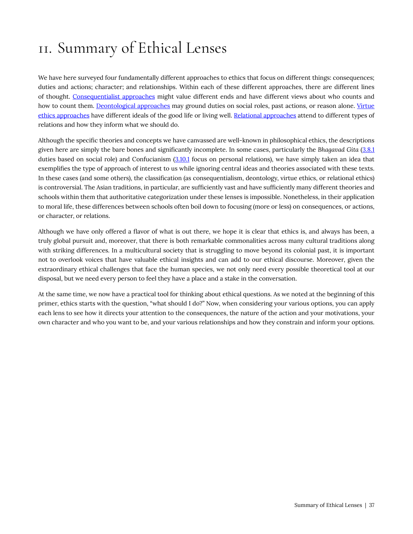# <span id="page-42-0"></span>11. Summary of Ethical Lenses

We have here surveyed four fundamentally different approaches to ethics that focus on different things: consequences; duties and actions; character; and relationships. Within each of these different approaches, there are different lines of thought. [Consequentialist approaches](#page-23-0) might value different ends and have different views about who counts and how to count them. [Deontological approaches](#page-29-0) may ground duties on social roles, past actions, or reason alone. [Virtue](#page-34-0) [ethics approaches](#page-34-0) have different ideals of the good life or living well. [Relational approaches](#page-37-0) attend to different types of relations and how they inform what we should do.

Although the specific theories and concepts we have canvassed are well-known in philosophical ethics, the descriptions given here are simply the bare bones and significantly incomplete. In some cases, particularly the *Bhagavad Gita* ([3.8.1](#page-29-0) duties based on social role) and Confucianism ([3.10.1](#page-37-0) focus on personal relations), we have simply taken an idea that exemplifies the type of approach of interest to us while ignoring central ideas and theories associated with these texts. In these cases (and some others), the classification (as consequentialism, deontology, virtue ethics, or relational ethics) is controversial. The Asian traditions, in particular, are sufficiently vast and have sufficiently many different theories and schools within them that authoritative categorization under these lenses is impossible. Nonetheless, in their application to moral life, these differences between schools often boil down to focusing (more or less) on consequences, or actions, or character, or relations.

Although we have only offered a flavor of what is out there, we hope it is clear that ethics is, and always has been, a truly global pursuit and, moreover, that there is both remarkable commonalities across many cultural traditions along with striking differences. In a multicultural society that is struggling to move beyond its colonial past, it is important not to overlook voices that have valuable ethical insights and can add to our ethical discourse. Moreover, given the extraordinary ethical challenges that face the human species, we not only need every possible theoretical tool at our disposal, but we need every person to feel they have a place and a stake in the conversation.

At the same time, we now have a practical tool for thinking about ethical questions. As we noted at the beginning of this primer, ethics starts with the question, "what should I do?" Now, when considering your various options, you can apply each lens to see how it directs your attention to the consequences, the nature of the action and your motivations, your own character and who you want to be, and your various relationships and how they constrain and inform your options.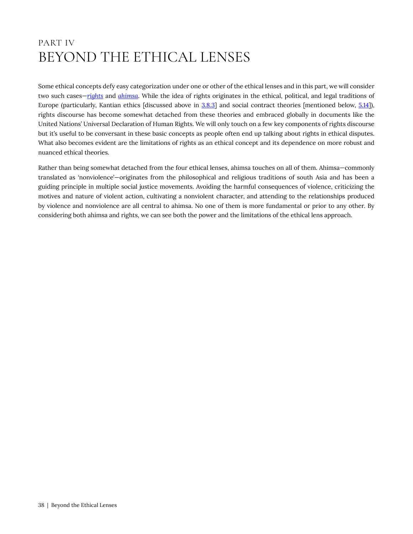## <span id="page-43-0"></span>PART IV BEYOND THE ETHICAL LENSES

Some ethical concepts defy easy categorization under one or other of the ethical lenses and in this part, we will consider two such cases—*[rights](#page-46-0)* and *[ahimsa](#page-44-0)*. While the idea of rights originates in the ethical, political, and legal traditions of Europe (particularly, Kantian ethics [discussed above in [3.8.3\]](#page-29-0) and social contract theories [mentioned below, [5.14](#page-50-0)]), rights discourse has become somewhat detached from these theories and embraced globally in documents like the United Nations' Universal Declaration of Human Rights. We will only touch on a few key components of rights discourse but it's useful to be conversant in these basic concepts as people often end up talking about rights in ethical disputes. What also becomes evident are the limitations of rights as an ethical concept and its dependence on more robust and nuanced ethical theories.

Rather than being somewhat detached from the four ethical lenses, ahimsa touches on all of them. Ahimsa—commonly translated as 'nonviolence'—originates from the philosophical and religious traditions of south Asia and has been a guiding principle in multiple social justice movements. Avoiding the harmful consequences of violence, criticizing the motives and nature of violent action, cultivating a nonviolent character, and attending to the relationships produced by violence and nonviolence are all central to ahimsa. No one of them is more fundamental or prior to any other. By considering both ahimsa and rights, we can see both the power and the limitations of the ethical lens approach.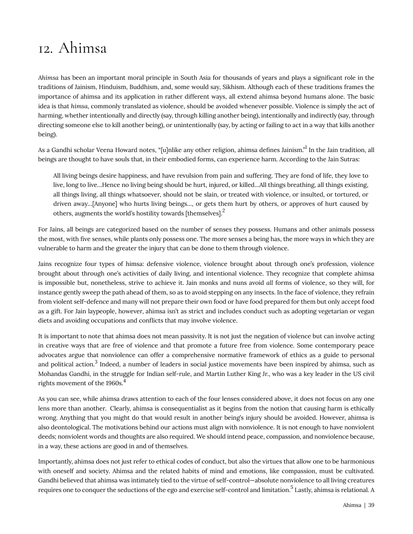## <span id="page-44-0"></span>12. Ahimsa

*Ahimsa* has been an important moral principle in South Asia for thousands of years and plays a significant role in the traditions of Jainism, Hinduism, Buddhism, and, some would say, Sikhism. Although each of these traditions frames the importance of ahimsa and its application in rather different ways, all extend ahimsa beyond humans alone. The basic idea is that *himsa*, commonly translated as violence, should be avoided whenever possible. Violence is simply the act of harming, whether intentionally and directly (say, through killing another being), intentionally and indirectly (say, through directing someone else to kill another being), or unintentionally (say, by acting or failing to act in a way that kills another being).

As a Gandhi scholar Veena Howard notes, "[u]nlike any other religion, ahimsa defines Jainism."<sup>1</sup> In the Jain tradition, all beings are thought to have souls that, in their embodied forms, can experience harm. According to the Jain Sutras:

All living beings desire happiness, and have revulsion from pain and suffering. They are fond of life, they love to live, long to live…Hence no living being should be hurt, injured, or killed…All things breathing, all things existing, all things living, all things whatsoever, should not be slain, or treated with violence, or insulted, or tortured, or driven away…[Anyone] who hurts living beings…, or gets them hurt by others, or approves of hurt caused by others, augments the world's hostility towards [themselves].<sup>2</sup>

For Jains, all beings are categorized based on the number of senses they possess. Humans and other animals possess the most, with five senses, while plants only possess one. The more senses a being has, the more ways in which they are vulnerable to harm and the greater the injury that can be done to them through violence.

Jains recognize four types of himsa: defensive violence, violence brought about through one's profession, violence brought about through one's activities of daily living, and intentional violence. They recognize that complete ahimsa is impossible but, nonetheless, strive to achieve it. Jain monks and nuns avoid *all* forms of violence, so they will, for instance gently sweep the path ahead of them, so as to avoid stepping on any insects. In the face of violence, they refrain from violent self-defence and many will not prepare their own food or have food prepared for them but only accept food as a gift. For Jain laypeople, however, ahimsa isn't as strict and includes conduct such as adopting vegetarian or vegan diets and avoiding occupations and conflicts that may involve violence.

It is important to note that ahimsa does not mean passivity. It is not just the negation of violence but can involve acting in creative ways that are free of violence and that promote a future free from violence. Some contemporary peace advocates argue that nonviolence can offer a comprehensive normative framework of ethics as a guide to personal and political action. $^3$  Indeed, a number of leaders in social justice movements have been inspired by ahimsa, such as Mohandas Gandhi, in the struggle for Indian self-rule, and Martin Luther King Jr., who was a key leader in the US civil rights movement of the  $1960s<sup>4</sup>$ 

As you can see, while ahimsa draws attention to each of the four lenses considered above, it does not focus on any one lens more than another. Clearly, ahimsa is consequentialist as it begins from the notion that causing harm is ethically wrong. Anything that you might do that would result in another being's injury should be avoided. However, ahimsa is also deontological. The motivations behind our actions must align with nonviolence. It is not enough to have nonviolent deeds; nonviolent words and thoughts are also required. We should intend peace, compassion, and nonviolence because, in a way, these actions are good in and of themselves.

Importantly, ahimsa does not just refer to ethical codes of conduct, but also the virtues that allow one to be harmonious with oneself and society. Ahimsa and the related habits of mind and emotions, like compassion, must be cultivated. Gandhi believed that ahimsa was intimately tied to the virtue of self-control—absolute nonviolence to all living creatures requires one to conquer the seductions of the ego and exercise self-control and limitation.<sup>5</sup> Lastly, ahimsa is relational. A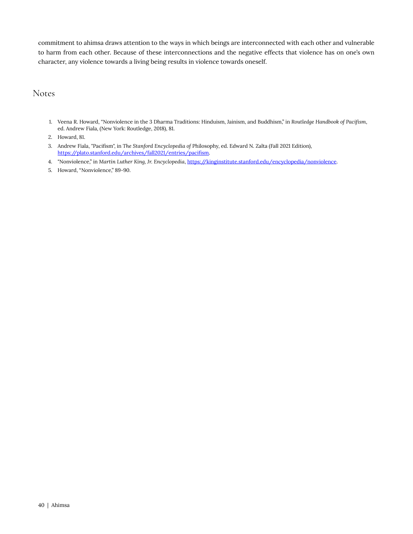commitment to ahimsa draws attention to the ways in which beings are interconnected with each other and vulnerable to harm from each other. Because of these interconnections and the negative effects that violence has on one's own character, any violence towards a living being results in violence towards oneself.

Notes

- 1. Veena R. Howard, "Nonviolence in the 3 Dharma Traditions: Hinduism, Jainism, and Buddhism," in *Routledge Handbook of Pacifism*, ed. Andrew Fiala, (New York: Routledge, 2018), 81.
- 2. Howard, 81.
- 3. Andrew Fiala, "Pacifism", in *The Stanford Encyclopedia of* Philosophy, ed. Edward N. Zalta (Fall 2021 Edition), [https://plato.stanford.edu/archives/fall2021/entries/pacifism.](https://plato.stanford.edu/archives/fall2021/entries/pacifism)
- 4. "Nonviolence," in *Martin Luther King, Jr. Encyclopedia*, <https://kinginstitute.stanford.edu/encyclopedia/nonviolence>.
- 5. Howard, "Nonviolence," 89-90.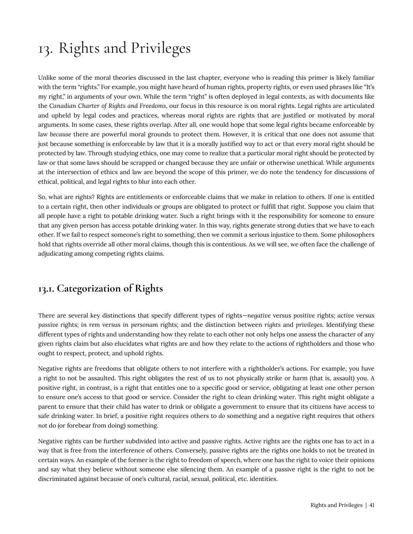# <span id="page-46-0"></span>13. Rights and Privileges

Unlike some of the moral theories discussed in the last chapter, everyone who is reading this primer is likely familiar with the term "rights." For example, you might have heard of human rights, property rights, or even used phrases like "It's my right," in arguments of your own. While the term "right" is often deployed in legal contexts, as with documents like the *Canadian Charter of Rights and Freedoms*, our focus in this resource is on moral rights. Legal rights are articulated and upheld by legal codes and practices, whereas moral rights are rights that are justified or motivated by moral arguments. In some cases, these rights overlap. After all, one would hope that some legal rights became enforceable by law *because* there are powerful moral grounds to protect them. However, it is critical that one does not assume that just because something is enforceable by law that it is a morally justified way to act or that every moral right should be protected by law. Through studying ethics, one may come to realize that a particular moral right should be protected by law or that some laws should be scrapped or changed because they are unfair or otherwise unethical. While arguments at the intersection of ethics and law are beyond the scope of this primer, we do note the tendency for discussions of ethical, political, and legal rights to blur into each other.

So, what are rights? Rights are entitlements or enforceable claims that we make in relation to others. If one is entitled to a certain right, then other individuals or groups are obligated to protect or fulfill that right. Suppose you claim that all people have a right to potable drinking water. Such a right brings with it the responsibility for someone to ensure that any given person has access potable drinking water. In this way, rights generate strong duties that we have to each other. If we fail to respect someone's right to something, then we commit a serious injustice to them. Some philosophers hold that rights override all other moral claims, though this is contentious. As we will see, we often face the challenge of adjudicating among competing rights claims.

### <span id="page-46-1"></span>**13.1. Categorization of Rights**

There are several key distinctions that specify different types of rights—*negative* versus *positive* rights; *active* versus *passive* rights; *in rem* versus *in personam* rights; and the distinction between *rights* and *privileges*. Identifying these different types of rights and understanding how they relate to each other not only helps one assess the character of any given rights claim but also elucidates what rights are and how they relate to the actions of rightholders and those who ought to respect, protect, and uphold rights.

Negative rights are freedoms that obligate others to not interfere with a rightholder's actions. For example, you have a right to not be assaulted. This right obligates the rest of us to not physically strike or harm (that is, assault) you. A positive right, in contrast, is a right that entitles one to a specific good or service, obligating at least one other person to ensure one's access to that good or service. Consider the right to clean drinking water. This right might obligate a parent to ensure that their child has water to drink or obligate a government to ensure that its citizens have access to safe drinking water. In brief, a positive right requires others to *do* something and a negative right requires that others *not* do (or forebear from doing) something.

Negative rights can be further subdivided into active and passive rights. Active rights are the rights one has to act in a way that is free from the interference of others. Conversely, passive rights are the rights one holds to not be treated in certain ways. An example of the former is the right to freedom of speech, where one has the right to voice their opinions and say what they believe without someone else silencing them. An example of a passive right is the right to not be discriminated against because of one's cultural, racial, sexual, political, etc. identities.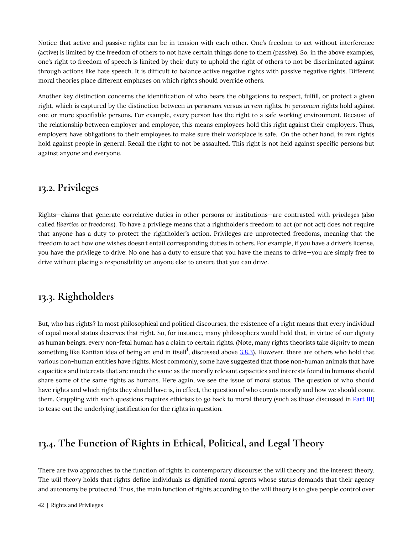Notice that active and passive rights can be in tension with each other. One's freedom to act without interference (active) is limited by the freedom of others to not have certain things done to them (passive). So, in the above examples, one's right to freedom of speech is limited by their duty to uphold the right of others to not be discriminated against through actions like hate speech. It is difficult to balance active negative rights with passive negative rights. Different moral theories place different emphases on which rights should override others.

Another key distinction concerns the identification of who bears the obligations to respect, fulfill, or protect a given right, which is captured by the distinction between *in personam* versus *in rem* rights. *In personam* rights hold against one or more specifiable persons. For example, every person has the right to a safe working environment. Because of the relationship between employer and employee, this means employees hold this right against their employers. Thus, employers have obligations to their employees to make sure their workplace is safe. On the other hand, *in rem* rights hold against people in general. Recall the right to not be assaulted. This right is not held against specific persons but against anyone and everyone.

#### <span id="page-47-0"></span>**13.2. Privileges**

Rights—claims that generate correlative duties in other persons or institutions—are contrasted with *privileges* (also called *liberties* or *freedoms*). To have a privilege means that a rightholder's freedom to act (or not act) does not require that anyone has a duty to protect the rightholder's action. Privileges are unprotected freedoms, meaning that the freedom to act how one wishes doesn't entail corresponding duties in others. For example, if you have a driver's license, you have the privilege to drive. No one has a duty to ensure that you have the means to drive—you are simply free to drive without placing a responsibility on anyone else to ensure that you can drive.

### <span id="page-47-1"></span>**13.3. Rightholders**

But, who has rights? In most philosophical and political discourses, the existence of a right means that every individual of equal moral status deserves that right. So, for instance, many philosophers would hold that, in virtue of our dignity as human beings, every non-fetal human has a claim to certain rights. (Note, many rights theorists take *dignity* to mean something like Kantian idea of being an end in itself $^1$ , discussed above <u>[3.8.3](#page-29-0)</u>). However, there are others who hold that various non-human entities have rights. Most commonly, some have suggested that those non-human animals that have capacities and interests that are much the same as the morally relevant capacities and interests found in humans should share some of the same rights as humans. Here again, we see the issue of moral status. The question of who should have rights and which rights they should have is, in effect, the question of who counts morally and how we should count them. Grappling with such questions requires ethicists to go back to moral theory (such as those discussed in [Part III\)](#page-22-0) to tease out the underlying justification for the rights in question.

### <span id="page-47-2"></span>**13.4. The Function of Rights in Ethical, Political, and Legal Theory**

There are two approaches to the function of rights in contemporary discourse: the will theory and the interest theory. The *will theory* holds that rights define individuals as dignified moral agents whose status demands that their agency and autonomy be protected. Thus, the main function of rights according to the will theory is to give people control over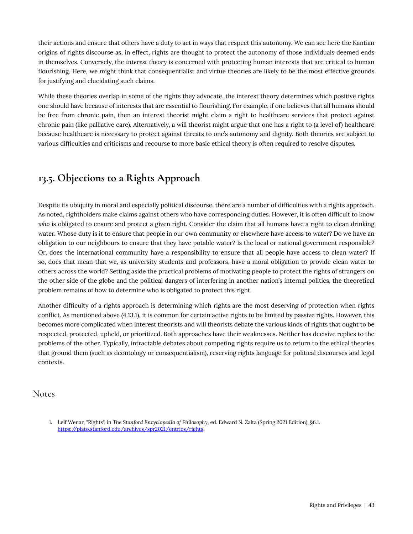their actions and ensure that others have a duty to act in ways that respect this autonomy. We can see here the Kantian origins of rights discourse as, in effect, rights are thought to protect the autonomy of those individuals deemed ends in themselves. Conversely, the *interest theory* is concerned with protecting human interests that are critical to human flourishing. Here, we might think that consequentialist and virtue theories are likely to be the most effective grounds for justifying and elucidating such claims.

While these theories overlap in some of the rights they advocate, the interest theory determines which positive rights one should have because of interests that are essential to flourishing. For example, if one believes that all humans should be free from chronic pain, then an interest theorist might claim a right to healthcare services that protect against chronic pain (like palliative care). Alternatively, a will theorist might argue that one has a right to (a level of) healthcare because healthcare is necessary to protect against threats to one's autonomy and dignity. Both theories are subject to various difficulties and criticisms and recourse to more basic ethical theory is often required to resolve disputes.

### <span id="page-48-0"></span>**13.5. Objections to a Rights Approach**

Despite its ubiquity in moral and especially political discourse, there are a number of difficulties with a rights approach. As noted, rightholders make claims against others who have corresponding duties. However, it is often difficult to know *who* is obligated to ensure and protect a given right. Consider the claim that all humans have a right to clean drinking water. Whose duty is it to ensure that people in our own community or elsewhere have access to water? Do we have an obligation to our neighbours to ensure that they have potable water? Is the local or national government responsible? Or, does the international community have a responsibility to ensure that all people have access to clean water? If so, does that mean that we, as university students and professors, have a moral obligation to provide clean water to others across the world? Setting aside the practical problems of motivating people to protect the rights of strangers on the other side of the globe and the political dangers of interfering in another nation's internal politics, the theoretical problem remains of how to determine who is obligated to protect this right.

Another difficulty of a rights approach is determining which rights are the most deserving of protection when rights conflict. As mentioned above (4.13.1), it is common for certain active rights to be limited by passive rights. However, this becomes more complicated when interest theorists and will theorists debate the various kinds of rights that ought to be respected, protected, upheld, or prioritized. Both approaches have their weaknesses. Neither has decisive replies to the problems of the other. Typically, intractable debates about competing rights require us to return to the ethical theories that ground them (such as deontology or consequentialism), reserving rights language for political discourses and legal contexts.

#### Notes

<sup>1.</sup> Leif Wenar, "Rights", in *The Stanford Encyclopedia of Philosophy*, ed. Edward N. Zalta (Spring 2021 Edition), §6.1. [https://plato.stanford.edu/archives/spr2021/entries/rights.](https://plato.stanford.edu/archives/spr2021/entries/rights)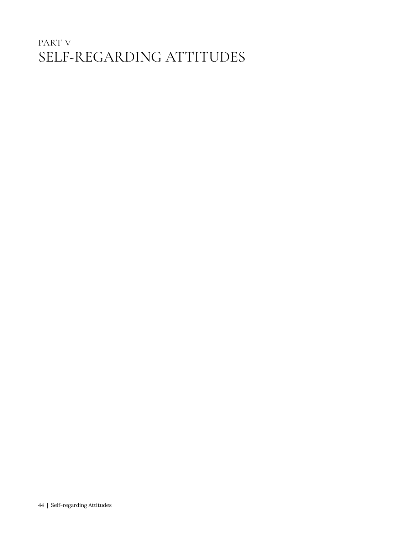## <span id="page-49-0"></span>PART V SELF-REGARDING ATTITUDES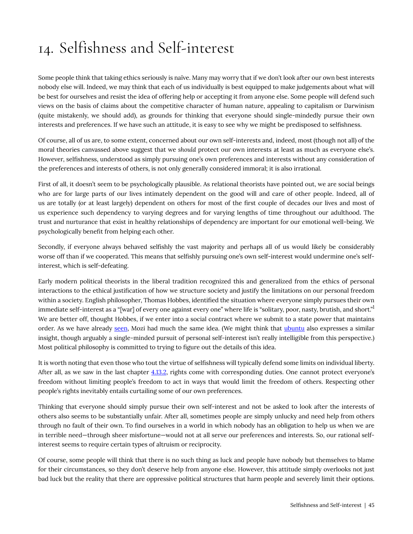# <span id="page-50-0"></span>14. Selfishness and Self-interest

Some people think that taking ethics seriously is naïve. Many may worry that if we don't look after our own best interests nobody else will. Indeed, we may think that each of us individually is best equipped to make judgements about what will be best for ourselves and resist the idea of offering help or accepting it from anyone else. Some people will defend such views on the basis of claims about the competitive character of human nature, appealing to capitalism or Darwinism (quite mistakenly, we should add), as grounds for thinking that everyone should single-mindedly pursue their own interests and preferences. If we have such an attitude, it is easy to see why we might be predisposed to selfishness.

Of course, all of us are, to some extent, concerned about our own self-interests and, indeed, most (though not all) of the moral theories canvassed above suggest that we *should* protect our own interests at least as much as everyone else's. However, selfishness, understood as simply pursuing one's own preferences and interests without any consideration of the preferences and interests of others, is not only generally considered immoral; it is also irrational.

First of all, it doesn't seem to be psychologically plausible. As relational theorists have pointed out, we are social beings who are for large parts of our lives intimately dependent on the good will and care of other people. Indeed, all of us are totally (or at least largely) dependent on others for most of the first couple of decades our lives and most of us experience such dependency to varying degrees and for varying lengths of time throughout our adulthood. The trust and nurturance that exist in healthy relationships of dependency are important for our emotional well-being. We psychologically benefit from helping each other.

Secondly, if everyone always behaved selfishly the vast majority and perhaps all of us would likely be considerably worse off than if we cooperated. This means that selfishly pursuing one's own self-interest would undermine one's selfinterest, which is self-defeating.

Early modern political theorists in the liberal tradition recognized this and generalized from the ethics of personal interactions to the ethical justification of how we structure society and justify the limitations on our personal freedom within a society. English philosopher, Thomas Hobbes, identified the situation where everyone simply pursues their own immediate self-interest as a "[war] of every one against every one" where life is "solitary, poor, nasty, brutish, and short."<sup>1</sup> We are better off, thought Hobbes, if we enter into a social contract where we submit to a state power that maintains order. As we have already [seen](#page-20-0), Mozi had much the same idea. (We might think that [ubuntu](#page-37-0) also expresses a similar insight, though arguably a single-minded pursuit of personal self-interest isn't really intelligible from this perspective.) Most political philosophy is committed to trying to figure out the details of this idea.

It is worth noting that even those who tout the virtue of selfishness will typically defend some limits on individual liberty. After all, as we saw in the last chapter [4.13.2,](#page-46-0) rights come with corresponding duties. One cannot protect everyone's freedom without limiting people's freedom to act in ways that would limit the freedom of others. Respecting other people's rights inevitably entails curtailing some of our own preferences.

Thinking that everyone should simply pursue their own self-interest and not be asked to look after the interests of others also seems to be substantially unfair. After all, sometimes people are simply unlucky and need help from others through no fault of their own. To find ourselves in a world in which nobody has an obligation to help us when we are in terrible need—through sheer misfortune—would not at all serve our preferences and interests. So, our rational selfinterest seems to require certain types of altruism or reciprocity.

Of course, some people will think that there is no such thing as luck and people have nobody but themselves to blame for their circumstances, so they don't deserve help from anyone else. However, this attitude simply overlooks not just bad luck but the reality that there are oppressive political structures that harm people and severely limit their options.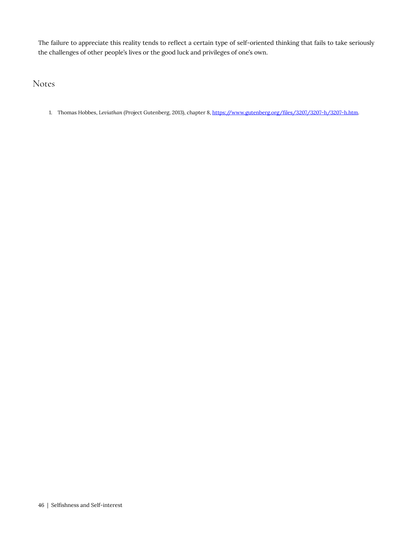The failure to appreciate this reality tends to reflect a certain type of self-oriented thinking that fails to take seriously the challenges of other people's lives or the good luck and privileges of one's own.

Notes

1. Thomas Hobbes, *Leviathan* (Project Gutenberg, 2013), chapter 8, [https://www.gutenberg.org/files/3207/3207-h/3207-h.htm.](https://www.gutenberg.org/files/3207/3207-h/3207-h.htm)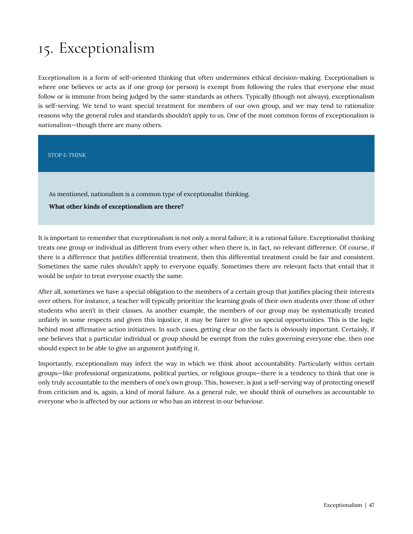# <span id="page-52-0"></span>15. Exceptionalism

*Exceptionalism* is a form of self-oriented thinking that often undermines ethical decision-making. Exceptionalism is where one believes or acts as if one group (or person) is exempt from following the rules that everyone else must follow or is immune from being judged by the same standards as others. Typically (though not always), exceptionalism is self-serving. We tend to want special treatment for members of our own group, and we may tend to rationalize reasons why the general rules and standards shouldn't apply to us. One of the most common forms of exceptionalism is *nationalism*—though there are many others.

*STOP & THINK* 

As mentioned, nationalism is a common type of exceptionalist thinking.

**What other kinds of exceptionalism are there?** 

It is important to remember that exceptionalism is not only a moral failure; it is a rational failure. Exceptionalist thinking treats one group or individual as different from every other when there is, in fact, no relevant difference. Of course, if there *is* a difference that justifies differential treatment, then this differential treatment could be fair and consistent. Sometimes the same rules *shouldn't* apply to everyone equally. Sometimes there *are* relevant facts that entail that it would be *unfair* to treat everyone exactly the same.

After all, sometimes we have a special obligation to the members of a certain group that justifies placing their interests over others. For instance, a teacher will typically prioritize the learning goals of their own students over those of other students who aren't in their classes. As another example, the members of our group may be systematically treated unfairly in some respects and given this injustice, it may be fairer to give us special opportunities. This is the logic behind most affirmative action initiatives. In such cases, getting clear on the facts is obviously important. Certainly, if one believes that a particular individual or group should be exempt from the rules governing everyone else, then one should expect to be able to give an argument justifying it.

Importantly, exceptionalism may infect the way in which we think about accountability. Particularly within certain groups—like professional organizations, political parties, or religious groups—there is a tendency to think that one is only truly accountable to the members of one's own group. This, however, is just a self-serving way of protecting oneself from criticism and is, again, a kind of moral failure. As a general rule, we should think of ourselves as accountable to everyone who is affected by our actions or who has an interest in our behaviour.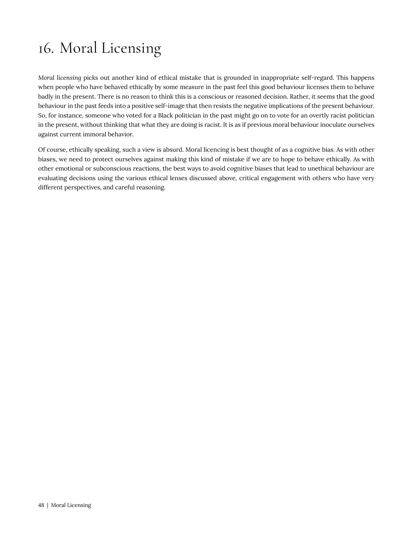# <span id="page-53-0"></span>16. Moral Licensing

*Moral licensing* picks out another kind of ethical mistake that is grounded in inappropriate self-regard. This happens when people who have behaved ethically by some measure in the past feel this good behaviour licenses them to behave badly in the present. There is no reason to think this is a conscious or reasoned decision. Rather, it seems that the good behaviour in the past feeds into a positive self-image that then resists the negative implications of the present behaviour. So, for instance, someone who voted for a Black politician in the past might go on to vote for an overtly racist politician in the present, without thinking that what they are doing is racist. It is as if previous moral behaviour inoculate ourselves against current immoral behavior.

Of course, ethically speaking, such a view is absurd. Moral licencing is best thought of as a cognitive bias. As with other biases, we need to protect ourselves against making this kind of mistake if we are to hope to behave ethically. As with other emotional or subconscious reactions, the best ways to avoid cognitive biases that lead to unethical behaviour are evaluating decisions using the various ethical lenses discussed above, critical engagement with others who have very different perspectives, and careful reasoning.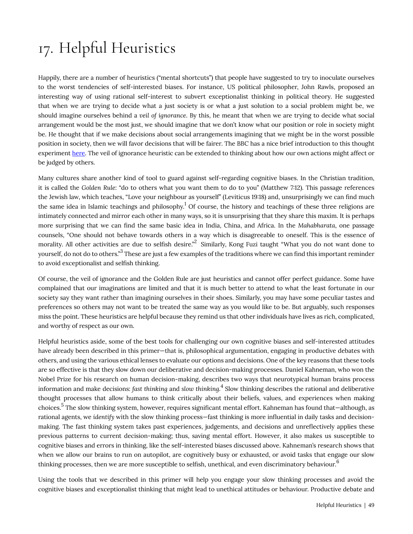# <span id="page-54-0"></span>17. Helpful Heuristics

Happily, there are a number of heuristics ("mental shortcuts") that people have suggested to try to inoculate ourselves to the worst tendencies of self-interested biases. For instance, US political philosopher, John Rawls, proposed an interesting way of using rational self-interest to subvert exceptionalist thinking in political theory. He suggested that when we are trying to decide what a just society is or what a just solution to a social problem might be, we should imagine ourselves behind a *veil of ignorance*. By this, he meant that when we are trying to decide what social arrangement would be the most just, we should imagine that we don't know what our position or role in society might be. He thought that if we make decisions about social arrangements imagining that we might be in the worst possible position in society, then we will favor decisions that will be fairer. The BBC has a nice brief introduction to this thought experiment [here.](https://www.bbc.co.uk/programmes/p02n3sgv) The veil of ignorance heuristic can be extended to thinking about how our own actions might affect or be judged by others.

Many cultures share another kind of tool to guard against self-regarding cognitive biases. In the Christian tradition, it is called the *Golden Rule*: "do to others what you want them to do to you" (Matthew 7:12). This passage references the Jewish law, which teaches, "Love your neighbour as yourself" (Leviticus 19:18) and, unsurprisingly we can find much the same idea in Islamic teachings and philosophy. $^1$  Of course, the history and teachings of these three religions are intimately connected and mirror each other in many ways, so it is unsurprising that they share this maxim. It is perhaps more surprising that we can find the same basic idea in India, China, and Africa. In the *Mahabharata*, one passage counsels, "One should not behave towards others in a way which is disagreeable to oneself. This is the essence of morality. All other activities are due to selfish desire." $^2$  Similarly, Kong Fuzi taught "What you do not want done to yourself, do not do to others."<sup>3</sup> These are just a few examples of the traditions where we can find this important reminder to avoid exceptionalist and selfish thinking.

Of course, the veil of ignorance and the Golden Rule are just heuristics and cannot offer perfect guidance. Some have complained that our imaginations are limited and that it is much better to attend to what the least fortunate in our society say they want rather than imagining ourselves in their shoes. Similarly, you may have some peculiar tastes and preferences so others may not want to be treated the same way as you would like to be. But arguably, such responses miss the point. These heuristics are helpful because they remind us that other individuals have lives as rich, complicated, and worthy of respect as our own.

Helpful heuristics aside, some of the best tools for challenging our own cognitive biases and self-interested attitudes have already been described in this primer—that is, philosophical argumentation, engaging in productive debates with others, and using the various ethical lenses to evaluate our options and decisions. One of the key reasons that these tools are so effective is that they slow down our deliberative and decision-making processes. Daniel Kahneman, who won the Nobel Prize for his research on human decision-making, describes two ways that neurotypical human brains process information and make decisions: *fast thinking* and *slow thinking*. 4 Slow thinking describes the rational and deliberative thought processes that allow humans to think critically about their beliefs, values, and experiences when making choices.<sup>5</sup> The slow thinking system, however, requires significant mental effort. Kahneman has found that—although, as rational agents, we *identify* with the slow thinking process—fast thinking is more influential in daily tasks and decisionmaking. The fast thinking system takes past experiences, judgements, and decisions and unreflectively applies these previous patterns to current decision-making; thus, saving mental effort. However, it also makes us susceptible to cognitive biases and errors in thinking, like the self-interested biases discussed above. Kahneman's research shows that when we allow our brains to run on autopilot, are cognitively busy or exhausted, or avoid tasks that engage our slow thinking processes, then we are more susceptible to selfish, unethical, and even discriminatory behaviour. $^6$ 

Using the tools that we described in this primer will help you engage your slow thinking processes and avoid the cognitive biases and exceptionalist thinking that might lead to unethical attitudes or behaviour. Productive debate and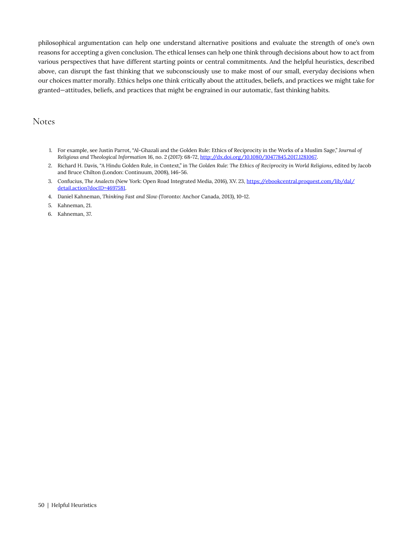philosophical argumentation can help one understand alternative positions and evaluate the strength of one's own reasons for accepting a given conclusion. The ethical lenses can help one think through decisions about how to act from various perspectives that have different starting points or central commitments. And the helpful heuristics, described above, can disrupt the fast thinking that we subconsciously use to make most of our small, everyday decisions when our choices matter morally. Ethics helps one think critically about the attitudes, beliefs, and practices we might take for granted—attitudes, beliefs, and practices that might be engrained in our automatic, fast thinking habits.

#### Notes

- 1. For example, see Justin Parrot, "Al-Ghazali and the Golden Rule: Ethics of Reciprocity in the Works of a Muslim Sage," *Journal of Religious and Theological Information* 16, no. 2 (2017): 68-72, [http://dx.doi.org/10.1080/10477845.2017.1281067.](http://dx.doi.org/10.1080/10477845.2017.1281067)
- 2. Richard H. Davis, "A Hindu Golden Rule, in Context," in *The Golden Rule: The Ethics of Reciprocity in World Religions*, edited by Jacob and Bruce Chilton (London: Continuum, 2008), 146-56.
- 3. Confucius, *The Analects* (New York: Open Road Integrated Media, 2016), XV. 23, [https://ebookcentral.proquest.com/lib/dal/](https://ebookcentral.proquest.com/lib/dal/detail.action?docID=4697581) [detail.action?docID=4697581.](https://ebookcentral.proquest.com/lib/dal/detail.action?docID=4697581)
- 4. Daniel Kahneman, *Thinking Fast and Slow* (Toronto: Anchor Canada, 2013), 10-12.
- 5. Kahneman, 21.
- 6. Kahneman, 37.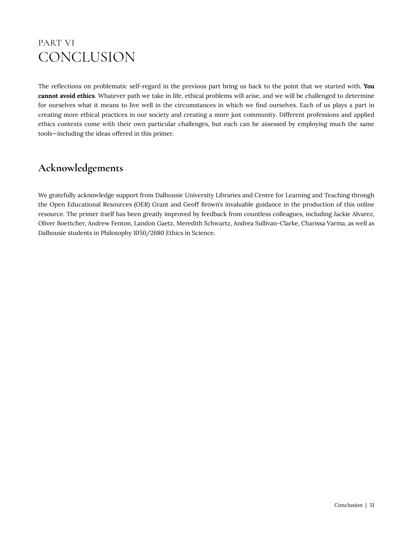## <span id="page-56-0"></span>PART VI **CONCLUSION**

The reflections on problematic self-regard in the previous part bring us back to the point that we started with. **You cannot avoid ethics**. Whatever path we take in life, ethical problems will arise, and we will be challenged to determine for ourselves what it means to live well in the circumstances in which we find ourselves. Each of us plays a part in creating more ethical practices in our society and creating a more just community. Different professions and applied ethics contexts come with their own particular challenges, but each can be assessed by employing much the same tools—including the ideas offered in this primer.

### **Acknowledgements**

We gratefully acknowledge support from Dalhousie University Libraries and Centre for Learning and Teaching through the Open Educational Resources (OER) Grant and Geoff Brown's invaluable guidance in the production of this online resource. The primer itself has been greatly improved by feedback from countless colleagues, including Jackie Alvarez, Oliver Boettcher, Andrew Fenton, Landon Gaetz, Meredith Schwartz, Andrea Sullivan-Clarke, Charissa Varma, as well as Dalhousie students in Philosophy 1050/2680 Ethics in Science.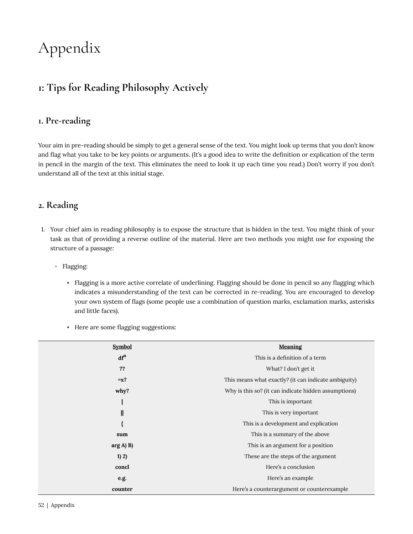# <span id="page-57-0"></span>Appendix

### <span id="page-57-1"></span>**1: Tips for Reading Philosophy Actively**

#### **1. Pre-reading**

Your aim in pre-reading should be simply to get a general sense of the text. You might look up terms that you don't know and flag what you take to be key points or arguments. (It's a good idea to write the definition or explication of the term in pencil in the margin of the text. This eliminates the need to look it up each time you read.) Don't worry if you don't understand all of the text at this initial stage.

#### **2. Reading**

- 1. Your chief aim in reading philosophy is to expose the structure that is hidden in the text. You might think of your task as that of providing a reverse outline of the material. Here are two methods you might use for exposing the structure of a passage:
	- Flagging:
		- Flagging is a more active correlate of underlining. Flagging should be done in pencil so any flagging which indicates a misunderstanding of the text can be corrected in re-reading. You are encouraged to develop your own system of flags (some people use a combination of question marks, exclamation marks, asterisks and little faces).
		- Here are some flagging suggestions:

| <b>Symbol</b>   | Meaning                                              |
|-----------------|------------------------------------------------------|
| df <sup>n</sup> | This is a definition of a term                       |
| ??              | What? I don't get it                                 |
| $=x$ ?          | This means what exactly? (it can indicate ambiguity) |
| why?            | Why is this so? (it can indicate hidden assumptions) |
|                 | This is important                                    |
| $\parallel$     | This is very important.                              |
| {               | This is a development and explication                |
| sum             | This is a summary of the above                       |
| arg(A) B        | This is an argument for a position                   |
| 1) 2)           | These are the steps of the argument                  |
| concl           | Here's a conclusion                                  |
| e.g.            | Here's an example                                    |
| counter         | Here's a counterargument or counterexample           |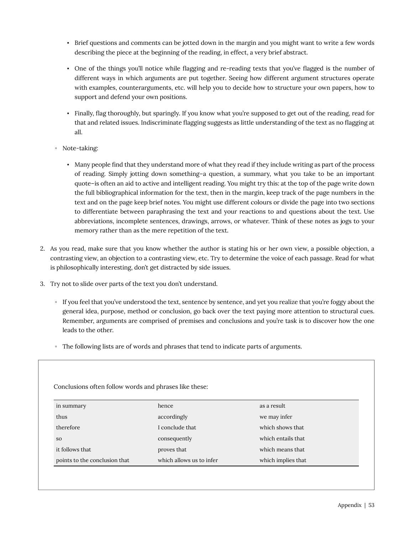- Brief questions and comments can be jotted down in the margin and you might want to write a few words describing the piece at the beginning of the reading, in effect, a very brief abstract.
- One of the things you'll notice while flagging and re-reading texts that you've flagged is the number of different ways in which arguments are put together. Seeing how different argument structures operate with examples, counterarguments, etc. will help you to decide how to structure your own papers, how to support and defend your own positions.
- Finally, flag thoroughly, but sparingly. If you know what you're supposed to get out of the reading, read for that and related issues. Indiscriminate flagging suggests as little understanding of the text as no flagging at all.
- Note-taking:
	- Many people find that they understand more of what they read if they include writing as part of the process of reading. Simply jotting down something–a question, a summary, what you take to be an important quote–is often an aid to active and intelligent reading. You might try this: at the top of the page write down the full bibliographical information for the text, then in the margin, keep track of the page numbers in the text and on the page keep brief notes. You might use different colours or divide the page into two sections to differentiate between paraphrasing the text and your reactions to and questions about the text. Use abbreviations, incomplete sentences, drawings, arrows, or whatever. Think of these notes as jogs to your memory rather than as the mere repetition of the text.
- 2. As you read, make sure that you know whether the author is stating his or her own view, a possible objection, a contrasting view, an objection to a contrasting view, etc. Try to determine the voice of each passage. Read for what is philosophically interesting, don't get distracted by side issues.
- 3. Try not to slide over parts of the text you don't understand.
	- If you feel that you've understood the text, sentence by sentence, and yet you realize that you're foggy about the general idea, purpose, method or conclusion, go back over the text paying more attention to structural cues. Remember, arguments are comprised of premises and conclusions and you're task is to discover how the one leads to the other.
	- The following lists are of words and phrases that tend to indicate parts of arguments.

| Conclusions often follow words and phrases like these: |                          |                     |
|--------------------------------------------------------|--------------------------|---------------------|
| in summary                                             | hence                    | as a result.        |
| thus                                                   | accordingly              | we may infer        |
| therefore                                              | I conclude that          | which shows that    |
| <sub>SO</sub>                                          | consequently             | which entails that. |
| it follows that                                        | proves that              | which means that    |
| points to the conclusion that                          | which allows us to infer | which implies that  |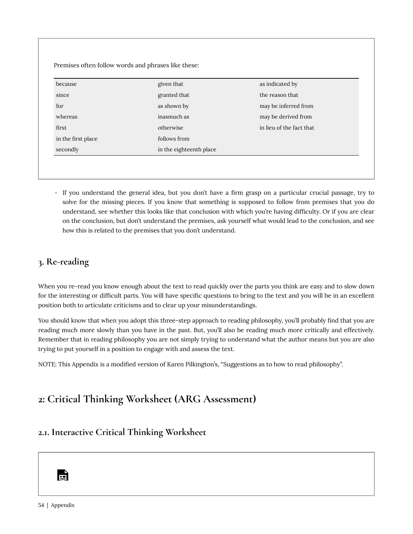| because            | given that              | as indicated by          |
|--------------------|-------------------------|--------------------------|
| since              | granted that            | the reason that          |
| for                | as shown by             | may be inferred from     |
| whereas            | inasmuch as             | may be derived from      |
| first              | otherwise               | in lieu of the fact that |
| in the first place | follows from            |                          |
| secondly           | in the eighteenth place |                          |

◦ If you understand the general idea, but you don't have a firm grasp on a particular crucial passage, try to solve for the missing pieces. If you know that something is supposed to follow from premises that you do understand, see whether this looks like that conclusion with which you're having difficulty. Or if you are clear on the conclusion, but don't understand the premises, ask yourself what would lead to the conclusion, and see how this is related to the premises that you don't understand.

#### **3. Re-reading**

When you re-read you know enough about the text to read quickly over the parts you think are easy and to slow down for the interesting or difficult parts. You will have specific questions to bring to the text and you will be in an excellent position both to articulate criticisms and to clear up your misunderstandings.

You should know that when you adopt this three-step approach to reading philosophy, you'll probably find that you are reading much more slowly than you have in the past. But, you'll also be reading much more critically and effectively. Remember that in reading philosophy you are not simply trying to understand what the author means but you are also trying to put yourself in a position to engage with and assess the text.

NOTE: This Appendix is a modified version of Karen Pilkington's, "Suggestions as to how to read philosophy".

### <span id="page-59-0"></span>**2: Critical Thinking Worksheet (ARG Assessment)**

#### **2.1. Interactive Critical Thinking Worksheet**

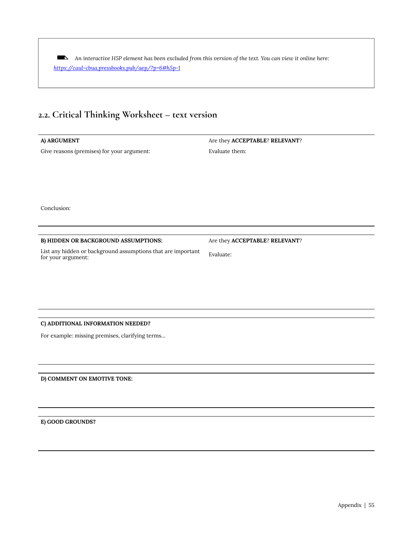*An interactive H5P element has been excluded from this version of the text. You can view it online here: <https://caul-cbua.pressbooks.pub/aep/?p=6#h5p-1>* 

#### **2.2. Critical Thinking Worksheet – text version**

Give reasons (premises) for your argument: Evaluate them:

**A) ARGUMENT** Are they **ACCEPTABLE**? **RELEVANT**?

Conclusion:

#### **B) HIDDEN OR BACKGROUND ASSUMPTIONS:** Are they **ACCEPTABLE**? **RELEVANT**?

List any hidden or background assumptions that are important for your argument: Evaluate:

#### **C) ADDITIONAL INFORMATION NEEDED?**

For example: missing premises, clarifying terms…

**D) COMMENT ON EMOTIVE TONE:** 

**E) GOOD GROUNDS?**